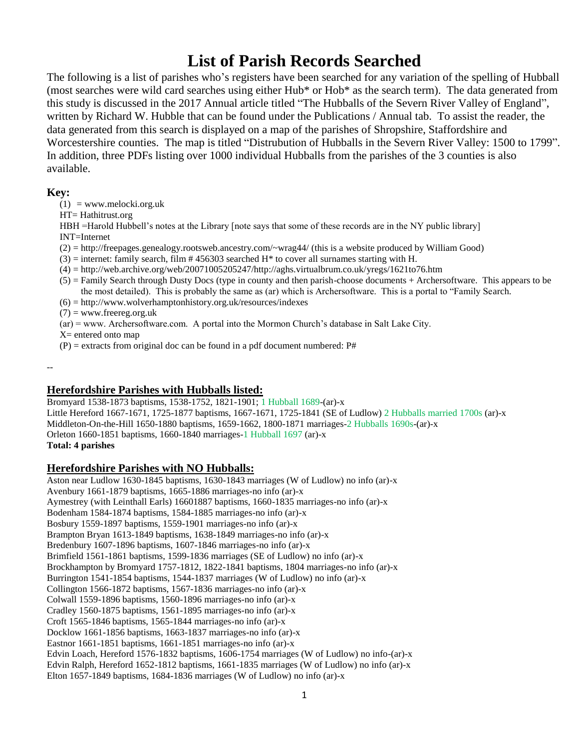# **List of Parish Records Searched**

The following is a list of parishes who's registers have been searched for any variation of the spelling of Hubball (most searches were wild card searches using either Hub\* or Hob\* as the search term). The data generated from this study is discussed in the 2017 Annual article titled "The Hubballs of the Severn River Valley of England", written by Richard W. Hubble that can be found under the Publications / Annual tab. To assist the reader, the data generated from this search is displayed on a map of the parishes of Shropshire, Staffordshire and Worcestershire counties. The map is titled "Distrubution of Hubballs in the Severn River Valley: 1500 to 1799". In addition, three PDFs listing over 1000 individual Hubballs from the parishes of the 3 counties is also available.

# **Key:**

 $(1)$  = www.melocki.org.uk

HT= Hathitrust.org

HBH =Harold Hubbell's notes at the Library [note says that some of these records are in the NY public library] INT=Internet

(2) = http://freepages.genealogy.rootsweb.ancestry.com/~wrag44/ (this is a website produced by William Good)

 $(3)$  = internet: family search, film # 456303 searched H\* to cover all surnames starting with H.

(4) = http://web.archive.org/web/20071005205247/http://aghs.virtualbrum.co.uk/yregs/1621to76.htm

- (5) = Family Search through Dusty Docs (type in county and then parish-choose documents + Archersoftware. This appears to be the most detailed). This is probably the same as (ar) which is Archersoftware. This is a portal to "Family Search.
- $(6) = \frac{http://www.wolverhamptonhistory.org.uk/resources/indexes}{http://www.wolverhamptonhistory.org.uk/resources/indexes}$

 $(7)$  = www.freereg.org.uk

(ar) = www. Archersoftware.com. A portal into the Mormon Church's database in Salt Lake City.

 $X=$  entered onto map

 $(P)$  = extracts from original doc can be found in a pdf document numbered: P#

--

# **Herefordshire Parishes with Hubballs listed:**

Bromyard 1538-1873 baptisms, 1538-1752, 1821-1901; 1 Hubball 1689-(ar)-x Little Hereford 1667-1671, 1725-1877 baptisms, 1667-1671, 1725-1841 (SE of Ludlow) 2 Hubballs married 1700s (ar)-x Middleton-On-the-Hill 1650-1880 baptisms, 1659-1662, 1800-1871 marriages-2 Hubballs 1690s-(ar)-x Orleton 1660-1851 baptisms, 1660-1840 marriages-1 Hubball 1697 (ar)-x **Total: 4 parishes**

# **Herefordshire Parishes with NO Hubballs:**

Aston near Ludlow 1630-1845 baptisms, 1630-1843 marriages (W of Ludlow) no info (ar)-x Avenbury 1661-1879 baptisms, 1665-1886 marriages-no info (ar)-x Aymestrey (with Leinthall Earls) 16601887 baptisms, 1660-1835 marriages-no info (ar)-x Bodenham 1584-1874 baptisms, 1584-1885 marriages-no info (ar)-x Bosbury 1559-1897 baptisms, 1559-1901 marriages-no info (ar)-x Brampton Bryan 1613-1849 baptisms, 1638-1849 marriages-no info (ar)-x Bredenbury 1607-1896 baptisms, 1607-1846 marriages-no info (ar)-x Brimfield 1561-1861 baptisms, 1599-1836 marriages (SE of Ludlow) no info (ar)-x Brockhampton by Bromyard 1757-1812, 1822-1841 baptisms, 1804 marriages-no info (ar)-x Burrington 1541-1854 baptisms, 1544-1837 marriages (W of Ludlow) no info (ar)-x Collington 1566-1872 baptisms, 1567-1836 marriages-no info (ar)-x Colwall 1559-1896 baptisms, 1560-1896 marriages-no info (ar)-x Cradley 1560-1875 baptisms, 1561-1895 marriages-no info (ar)-x Croft 1565-1846 baptisms, 1565-1844 marriages-no info (ar)-x Docklow 1661-1856 baptisms, 1663-1837 marriages-no info (ar)-x Eastnor 1661-1851 baptisms, 1661-1851 marriages-no info (ar)-x Edvin Loach, Hereford 1576-1832 baptisms, 1606-1754 marriages (W of Ludlow) no info-(ar)-x Edvin Ralph, Hereford 1652-1812 baptisms, 1661-1835 marriages (W of Ludlow) no info (ar)-x Elton 1657-1849 baptisms, 1684-1836 marriages (W of Ludlow) no info (ar)-x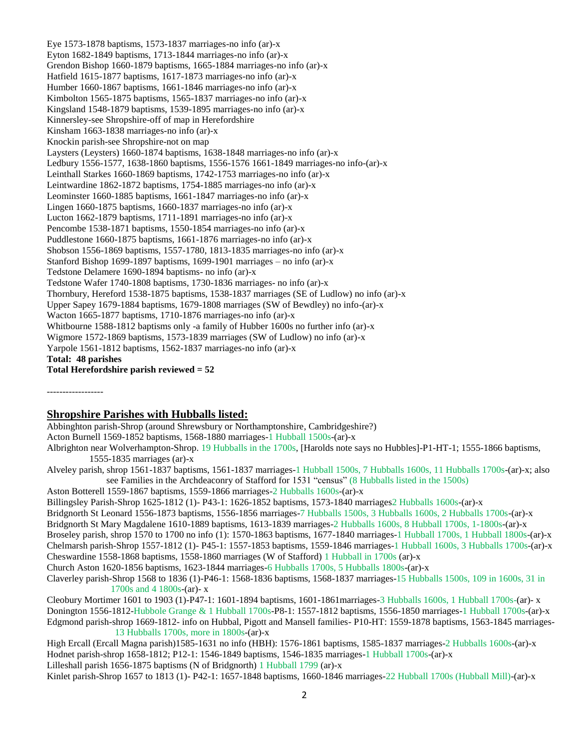Eye 1573-1878 baptisms, 1573-1837 marriages-no info (ar)-x Eyton 1682-1849 baptisms, 1713-1844 marriages-no info (ar)-x Grendon Bishop 1660-1879 baptisms, 1665-1884 marriages-no info (ar)-x Hatfield 1615-1877 baptisms, 1617-1873 marriages-no info (ar)-x Humber 1660-1867 baptisms, 1661-1846 marriages-no info (ar)-x Kimbolton 1565-1875 baptisms, 1565-1837 marriages-no info (ar)-x Kingsland 1548-1879 baptisms, 1539-1895 marriages-no info (ar)-x Kinnersley-see Shropshire-off of map in Herefordshire Kinsham 1663-1838 marriages-no info (ar)-x Knockin parish-see Shropshire-not on map Laysters (Leysters) 1660-1874 baptisms, 1638-1848 marriages-no info (ar)-x Ledbury 1556-1577, 1638-1860 baptisms, 1556-1576 1661-1849 marriages-no info-(ar)-x Leinthall Starkes 1660-1869 baptisms, 1742-1753 marriages-no info (ar)-x Leintwardine 1862-1872 baptisms, 1754-1885 marriages-no info (ar)-x Leominster 1660-1885 baptisms, 1661-1847 marriages-no info (ar)-x Lingen 1660-1875 baptisms, 1660-1837 marriages-no info (ar)-x Lucton 1662-1879 baptisms, 1711-1891 marriages-no info (ar)-x Pencombe 1538-1871 baptisms, 1550-1854 marriages-no info (ar)-x Puddlestone 1660-1875 baptisms, 1661-1876 marriages-no info (ar)-x Shobson 1556-1869 baptisms, 1557-1780, 1813-1835 marriages-no info (ar)-x Stanford Bishop 1699-1897 baptisms, 1699-1901 marriages – no info (ar)-x Tedstone Delamere 1690-1894 baptisms- no info (ar)-x Tedstone Wafer 1740-1808 baptisms, 1730-1836 marriages- no info (ar)-x Thornbury, Hereford 1538-1875 baptisms, 1538-1837 marriages (SE of Ludlow) no info (ar)-x Upper Sapey 1679-1884 baptisms, 1679-1808 marriages (SW of Bewdley) no info-(ar)-x Wacton 1665-1877 baptisms, 1710-1876 marriages-no info (ar)-x Whitbourne 1588-1812 baptisms only -a family of Hubber 1600s no further info (ar)-x Wigmore 1572-1869 baptisms, 1573-1839 marriages (SW of Ludlow) no info (ar)-x Yarpole 1561-1812 baptisms, 1562-1837 marriages-no info (ar)-x **Total: 48 parishes Total Herefordshire parish reviewed = 52**

------------------

### **Shropshire Parishes with Hubballs listed:**

Abbinghton parish-Shrop (around Shrewsbury or Northamptonshire, Cambridgeshire?) Acton Burnell 1569-1852 baptisms, 1568-1880 marriages-1 Hubball 1500s-(ar)-x Albrighton near Wolverhampton-Shrop. 19 Hubballs in the 1700s, [Harolds note says no Hubbles]-P1-HT-1; 1555-1866 baptisms, 1555-1835 marriages (ar)-x Alveley parish, shrop 1561-1837 baptisms, 1561-1837 marriages-1 Hubball 1500s, 7 Hubballs 1600s, 11 Hubballs 1700s-(ar)-x; also see Families in the Archdeaconry of Stafford for 1531 "census" (8 Hubballs listed in the 1500s) Aston Botterell 1559-1867 baptisms, 1559-1866 marriages-2 Hubballs 1600s-(ar)-x Billingsley Parish-Shrop 1625-1812 (1)- P43-1: 1626-1852 baptisms, 1573-1840 marriages2 Hubballs 1600s-(ar)-x Bridgnorth St Leonard 1556-1873 baptisms, 1556-1856 marriages-7 Hubballs 1500s, 3 Hubballs 1600s, 2 Hubballs 1700s-(ar)-x Bridgnorth St Mary Magdalene 1610-1889 baptisms, 1613-1839 marriages-2 Hubballs 1600s, 8 Hubball 1700s, 1-1800s-(ar)-x Broseley parish, shrop 1570 to 1700 no info (1): 1570-1863 baptisms, 1677-1840 marriages-1 Hubball 1700s, 1 Hubball 1800s-(ar)-x Chelmarsh parish-Shrop 1557-1812 (1)- P45-1: 1557-1853 baptisms, 1559-1846 marriages-1 Hubball 1600s, 3 Hubballs 1700s-(ar)-x Cheswardine 1558-1868 baptisms, 1558-1860 marriages (W of Stafford) 1 Hubball in 1700s (ar)-x Church Aston 1620-1856 baptisms, 1623-1844 marriages-6 Hubballs 1700s, 5 Hubballs 1800s-(ar)-x Claverley parish-Shrop 1568 to 1836 (1)-P46-1: 1568-1836 baptisms, 1568-1837 marriages-15 Hubballs 1500s, 109 in 1600s, 31 in 1700s and 4 1800s-(ar)- x Cleobury Mortimer 1601 to 1903 (1)-P47-1: 1601-1894 baptisms, 1601-1861marriages-3 Hubballs 1600s, 1 Hubball 1700s-(ar)- x Donington 1556-1812-Hubbole Grange & 1 Hubball 1700s-P8-1: 1557-1812 baptisms, 1556-1850 marriages-1 Hubball 1700s-(ar)-x Edgmond parish-shrop 1669-1812- info on Hubbal, Pigott and Mansell families- P10-HT: 1559-1878 baptisms, 1563-1845 marriages-13 Hubballs 1700s, more in 1800s-(ar)-x High Ercall (Ercall Magna parish)1585-1631 no info (HBH): 1576-1861 baptisms, 1585-1837 marriages-2 Hubballs 1600s-(ar)-x Hodnet parish-shrop 1658-1812; P12-1: 1546-1849 baptisms, 1546-1835 marriages-1 Hubball 1700s-(ar)-x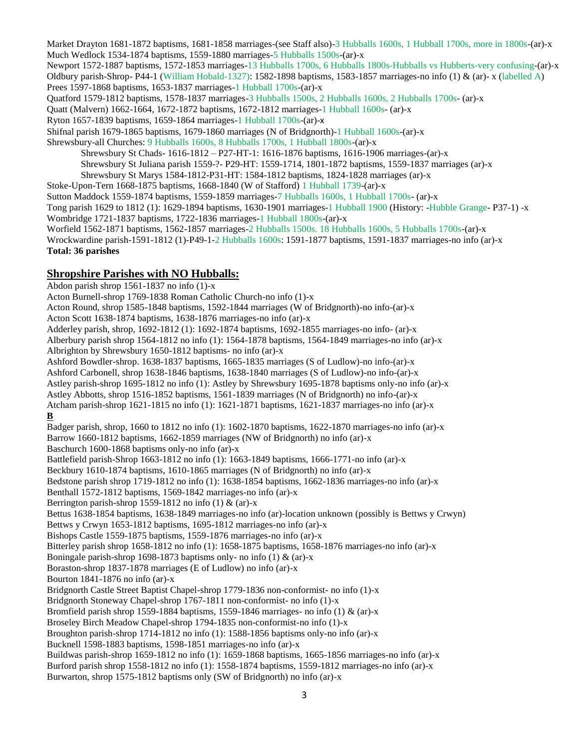Market Drayton 1681-1872 baptisms, 1681-1858 marriages-(see Staff also)-3 Hubballs 1600s, 1 Hubball 1700s, more in 1800s-(ar)-x Much Wedlock 1534-1874 baptisms, 1559-1880 marriages-5 Hubballs 1500s-(ar)-x Newport 1572-1887 baptisms, 1572-1853 marriages-13 Hubballs 1700s, 6 Hubballs 1800s-Hubballs vs Hubberts-very confusing-(ar)-x Oldbury parish-Shrop- P44-1 (William Hobald-1327): 1582-1898 baptisms, 1583-1857 marriages-no info (1) & (ar)- x (labelled A) Prees 1597-1868 baptisms, 1653-1837 marriages-1 Hubball 1700s-(ar)-x Quatford 1579-1812 baptisms, 1578-1837 marriages-3 Hubballs 1500s, 2 Hubballs 1600s, 2 Hubballs 1700s- (ar)-x Quatt (Malvern) 1662-1664, 1672-1872 baptisms, 1672-1812 marriages-1 Hubball 1600s- (ar)-x Ryton 1657-1839 baptisms, 1659-1864 marriages-1 Hubball 1700s-(ar)-x Shifnal parish 1679-1865 baptisms, 1679-1860 marriages (N of Bridgnorth)-1 Hubball 1600s-(ar)-x Shrewsbury-all Churches: 9 Hubballs 1600s, 8 Hubballs 1700s, 1 Hubball 1800s-(ar)-x Shrewsbury St Chads- 1616-1812 – P27-HT-1: 1616-1876 baptisms, 1616-1906 marriages-(ar)-x Shrewsbury St Juliana parish 1559-?- P29-HT: 1559-1714, 1801-1872 baptisms, 1559-1837 marriages (ar)-x Shrewsbury St Marys 1584-1812-P31-HT: 1584-1812 baptisms, 1824-1828 marriages (ar)-x Stoke-Upon-Tern 1668-1875 baptisms, 1668-1840 (W of Stafford) 1 Hubball 1739-(ar)-x Sutton Maddock 1559-1874 baptisms, 1559-1859 marriages-7 Hubballs 1600s, 1 Hubball 1700s- (ar)-x Tong parish 1629 to 1812 (1): 1629-1894 baptisms, 1630-1901 marriages-1 Hubball 1900 (History: -Hubble Grange- P37-1) -x Wombridge 1721-1837 baptisms, 1722-1836 marriages-1 Hubball 1800s-(ar)-x

Worfield 1562-1871 baptisms, 1562-1857 marriages-2 Hubballs 1500s. 18 Hubballs 1600s, 5 Hubballs 1700s-(ar)-x Wrockwardine parish-1591-1812 (1)-P49-1-2 Hubballs 1600s: 1591-1877 baptisms, 1591-1837 marriages-no info (ar)-x **Total: 36 parishes**

# **Shropshire Parishes with NO Hubballs:**

Abdon parish shrop 1561-1837 no info (1)-x Acton Burnell-shrop 1769-1838 Roman Catholic Church-no info (1)-x Acton Round, shrop 1585-1848 baptisms, 1592-1844 marriages (W of Bridgnorth)-no info-(ar)-x Acton Scott 1638-1874 baptisms, 1638-1876 marriages-no info (ar)-x Adderley parish, shrop, 1692-1812 (1): 1692-1874 baptisms, 1692-1855 marriages-no info- (ar)-x Alberbury parish shrop 1564-1812 no info (1): 1564-1878 baptisms, 1564-1849 marriages-no info (ar)-x Albrighton by Shrewsbury 1650-1812 baptisms- no info (ar)-x Ashford Bowdler-shrop. 1638-1837 baptisms, 1665-1835 marriages (S of Ludlow)-no info-(ar)-x Ashford Carbonell, shrop 1638-1846 baptisms, 1638-1840 marriages (S of Ludlow)-no info-(ar)-x Astley parish-shrop 1695-1812 no info (1): Astley by Shrewsbury 1695-1878 baptisms only-no info (ar)-x Astley Abbotts, shrop 1516-1852 baptisms, 1561-1839 marriages (N of Bridgnorth) no info-(ar)-x Atcham parish-shrop 1621-1815 no info (1): 1621-1871 baptisms, 1621-1837 marriages-no info (ar)-x **B** Badger parish, shrop, 1660 to 1812 no info (1): 1602-1870 baptisms, 1622-1870 marriages-no info (ar)-x Barrow 1660-1812 baptisms, 1662-1859 marriages (NW of Bridgnorth) no info (ar)-x Baschurch 1600-1868 baptisms only-no info (ar)-x Battlefield parish-Shrop 1663-1812 no info (1): 1663-1849 baptisms, 1666-1771-no info (ar)-x Beckbury 1610-1874 baptisms, 1610-1865 marriages (N of Bridgnorth) no info (ar)-x Bedstone parish shrop 1719-1812 no info (1): 1638-1854 baptisms, 1662-1836 marriages-no info (ar)-x Benthall 1572-1812 baptisms, 1569-1842 marriages-no info (ar)-x Berrington parish-shrop 1559-1812 no info (1)  $&$  (ar)-x Bettus 1638-1854 baptisms, 1638-1849 marriages-no info (ar)-location unknown (possibly is Bettws y Crwyn) Bettws y Crwyn 1653-1812 baptisms, 1695-1812 marriages-no info (ar)-x Bishops Castle 1559-1875 baptisms, 1559-1876 marriages-no info (ar)-x Bitterley parish shrop 1658-1812 no info (1): 1658-1875 baptisms, 1658-1876 marriages-no info (ar)-x Boningale parish-shrop 1698-1873 baptisms only- no info (1)  $\&$  (ar)-x Boraston-shrop 1837-1878 marriages (E of Ludlow) no info (ar)-x Bourton 1841-1876 no info (ar)-x Bridgnorth Castle Street Baptist Chapel-shrop 1779-1836 non-conformist- no info (1)-x Bridgnorth Stoneway Chapel-shrop 1767-1811 non-conformist- no info (1)-x Bromfield parish shrop 1559-1884 baptisms, 1559-1846 marriages- no info (1) & (ar)-x Broseley Birch Meadow Chapel-shrop 1794-1835 non-conformist-no info (1)-x Broughton parish-shrop 1714-1812 no info (1): 1588-1856 baptisms only-no info (ar)-x Bucknell 1598-1883 baptisms, 1598-1851 marriages-no info (ar)-x Buildwas parish-shrop 1659-1812 no info (1): 1659-1868 baptisms, 1665-1856 marriages-no info (ar)-x Burford parish shrop 1558-1812 no info (1): 1558-1874 baptisms, 1559-1812 marriages-no info (ar)-x Burwarton, shrop 1575-1812 baptisms only (SW of Bridgnorth) no info (ar)-x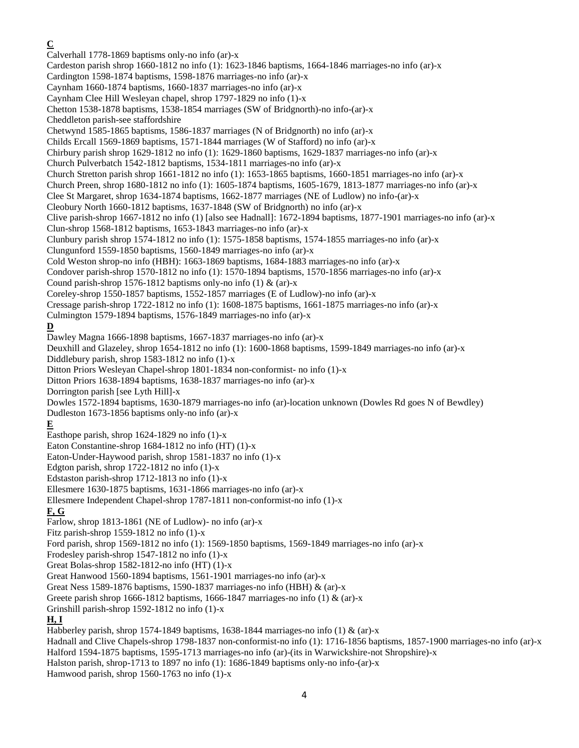**C** Calverhall 1778-1869 baptisms only-no info (ar)-x Cardeston parish shrop 1660-1812 no info (1): 1623-1846 baptisms, 1664-1846 marriages-no info (ar)-x Cardington 1598-1874 baptisms, 1598-1876 marriages-no info (ar)-x Caynham 1660-1874 baptisms, 1660-1837 marriages-no info (ar)-x Caynham Clee Hill Wesleyan chapel, shrop 1797-1829 no info (1)-x Chetton 1538-1878 baptisms, 1538-1854 marriages (SW of Bridgnorth)-no info-(ar)-x Cheddleton parish-see staffordshire Chetwynd 1585-1865 baptisms, 1586-1837 marriages (N of Bridgnorth) no info (ar)-x Childs Ercall 1569-1869 baptisms, 1571-1844 marriages (W of Stafford) no info (ar)-x Chirbury parish shrop 1629-1812 no info (1): 1629-1860 baptisms, 1629-1837 marriages-no info (ar)-x Church Pulverbatch 1542-1812 baptisms, 1534-1811 marriages-no info (ar)-x Church Stretton parish shrop 1661-1812 no info (1): 1653-1865 baptisms, 1660-1851 marriages-no info (ar)-x Church Preen, shrop 1680-1812 no info (1): 1605-1874 baptisms, 1605-1679, 1813-1877 marriages-no info (ar)-x Clee St Margaret, shrop 1634-1874 baptisms, 1662-1877 marriages (NE of Ludlow) no info-(ar)-x Cleobury North 1660-1812 baptisms, 1637-1848 (SW of Bridgnorth) no info (ar)-x Clive parish-shrop 1667-1812 no info (1) [also see Hadnall]: 1672-1894 baptisms, 1877-1901 marriages-no info (ar)-x Clun-shrop 1568-1812 baptisms, 1653-1843 marriages-no info (ar)-x Clunbury parish shrop 1574-1812 no info (1): 1575-1858 baptisms, 1574-1855 marriages-no info (ar)-x Clungunford 1559-1850 baptisms, 1560-1849 marriages-no info (ar)-x Cold Weston shrop-no info (HBH): 1663-1869 baptisms, 1684-1883 marriages-no info (ar)-x Condover parish-shrop 1570-1812 no info (1): 1570-1894 baptisms, 1570-1856 marriages-no info (ar)-x Cound parish-shrop 1576-1812 baptisms only-no info  $(1)$  &  $(ar)$ -x Coreley-shrop 1550-1857 baptisms, 1552-1857 marriages (E of Ludlow)-no info (ar)-x Cressage parish-shrop 1722-1812 no info (1): 1608-1875 baptisms, 1661-1875 marriages-no info (ar)-x Culmington 1579-1894 baptisms, 1576-1849 marriages-no info (ar)-x **D** Dawley Magna 1666-1898 baptisms, 1667-1837 marriages-no info (ar)-x Deuxhill and Glazeley, shrop 1654-1812 no info (1): 1600-1868 baptisms, 1599-1849 marriages-no info (ar)-x Diddlebury parish, shrop 1583-1812 no info (1)-x Ditton Priors Wesleyan Chapel-shrop 1801-1834 non-conformist- no info (1)-x Ditton Priors 1638-1894 baptisms, 1638-1837 marriages-no info (ar)-x Dorrington parish [see Lyth Hill]-x Dowles 1572-1894 baptisms, 1630-1879 marriages-no info (ar)-location unknown (Dowles Rd goes N of Bewdley) Dudleston 1673-1856 baptisms only-no info (ar)-x **E** Easthope parish, shrop 1624-1829 no info (1)-x Eaton Constantine-shrop 1684-1812 no info (HT) (1)-x Eaton-Under-Haywood parish, shrop 1581-1837 no info (1)-x Edgton parish, shrop 1722-1812 no info (1)-x Edstaston parish-shrop 1712-1813 no info (1)-x Ellesmere 1630-1875 baptisms, 1631-1866 marriages-no info (ar)-x Ellesmere Independent Chapel-shrop 1787-1811 non-conformist-no info (1)-x **F, G** Farlow, shrop 1813-1861 (NE of Ludlow)- no info (ar)-x Fitz parish-shrop 1559-1812 no info (1)-x Ford parish, shrop 1569-1812 no info (1): 1569-1850 baptisms, 1569-1849 marriages-no info (ar)-x Frodesley parish-shrop 1547-1812 no info (1)-x Great Bolas-shrop 1582-1812-no info (HT) (1)-x Great Hanwood 1560-1894 baptisms, 1561-1901 marriages-no info (ar)-x Great Ness 1589-1876 baptisms, 1590-1837 marriages-no info (HBH) & (ar)-x Greete parish shrop 1666-1812 baptisms, 1666-1847 marriages-no info (1)  $\&$  (ar)-x Grinshill parish-shrop 1592-1812 no info (1)-x **H, I** Habberley parish, shrop 1574-1849 baptisms, 1638-1844 marriages-no info (1) & (ar)-x Hadnall and Clive Chapels-shrop 1798-1837 non-conformist-no info (1): 1716-1856 baptisms, 1857-1900 marriages-no info (ar)-x Halford 1594-1875 baptisms, 1595-1713 marriages-no info (ar)-(its in Warwickshire-not Shropshire)-x Halston parish, shrop-1713 to 1897 no info (1): 1686-1849 baptisms only-no info-(ar)-x Hamwood parish, shrop 1560-1763 no info (1)-x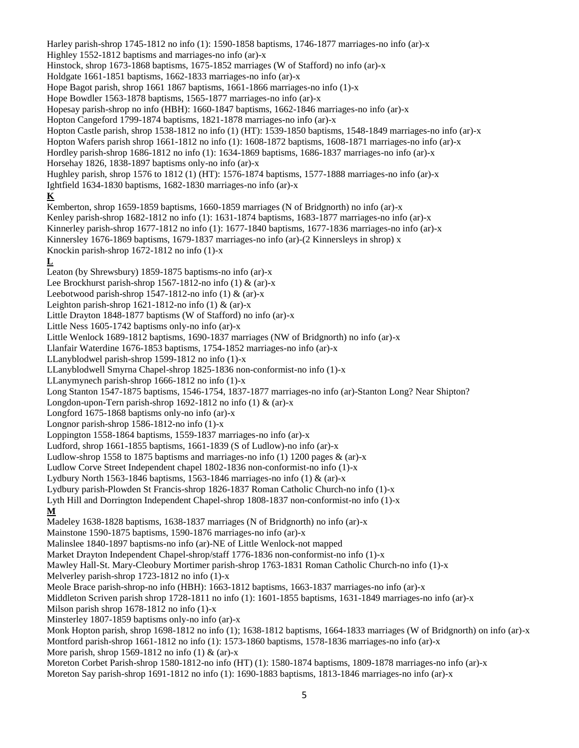Harley parish-shrop 1745-1812 no info (1): 1590-1858 baptisms, 1746-1877 marriages-no info (ar)-x Highley 1552-1812 baptisms and marriages-no info (ar)-x Hinstock, shrop 1673-1868 baptisms, 1675-1852 marriages (W of Stafford) no info (ar)-x Holdgate 1661-1851 baptisms, 1662-1833 marriages-no info (ar)-x Hope Bagot parish, shrop 1661 1867 baptisms, 1661-1866 marriages-no info (1)-x Hope Bowdler 1563-1878 baptisms, 1565-1877 marriages-no info (ar)-x Hopesay parish-shrop no info (HBH): 1660-1847 baptisms, 1662-1846 marriages-no info (ar)-x Hopton Cangeford 1799-1874 baptisms, 1821-1878 marriages-no info (ar)-x Hopton Castle parish, shrop 1538-1812 no info (1) (HT): 1539-1850 baptisms, 1548-1849 marriages-no info (ar)-x Hopton Wafers parish shrop 1661-1812 no info (1): 1608-1872 baptisms, 1608-1871 marriages-no info (ar)-x Hordley parish-shrop 1686-1812 no info (1): 1634-1869 baptisms, 1686-1837 marriages-no info (ar)-x Horsehay 1826, 1838-1897 baptisms only-no info (ar)-x Hughley parish, shrop 1576 to 1812 (1) (HT): 1576-1874 baptisms, 1577-1888 marriages-no info (ar)-x Ightfield 1634-1830 baptisms, 1682-1830 marriages-no info (ar)-x **K** Kemberton, shrop 1659-1859 baptisms, 1660-1859 marriages (N of Bridgnorth) no info (ar)-x Kenley parish-shrop 1682-1812 no info (1): 1631-1874 baptisms, 1683-1877 marriages-no info (ar)-x Kinnerley parish-shrop 1677-1812 no info (1): 1677-1840 baptisms, 1677-1836 marriages-no info (ar)-x Kinnersley 1676-1869 baptisms, 1679-1837 marriages-no info (ar)-(2 Kinnersleys in shrop) x Knockin parish-shrop 1672-1812 no info (1)-x **L** Leaton (by Shrewsbury) 1859-1875 baptisms-no info (ar)-x Lee Brockhurst parish-shrop 1567-1812-no info  $(1)$  &  $(ar)$ -x Leebotwood parish-shrop 1547-1812-no info  $(1)$  &  $(ar)-x$ Leighton parish-shrop 1621-1812-no info  $(1)$  &  $(ar)-x$ Little Drayton 1848-1877 baptisms (W of Stafford) no info (ar)-x Little Ness 1605-1742 baptisms only-no info (ar)-x Little Wenlock 1689-1812 baptisms, 1690-1837 marriages (NW of Bridgnorth) no info (ar)-x Llanfair Waterdine 1676-1853 baptisms, 1754-1852 marriages-no info (ar)-x LLanyblodwel parish-shrop 1599-1812 no info (1)-x LLanyblodwell Smyrna Chapel-shrop 1825-1836 non-conformist-no info (1)-x LLanymynech parish-shrop 1666-1812 no info (1)-x Long Stanton 1547-1875 baptisms, 1546-1754, 1837-1877 marriages-no info (ar)-Stanton Long? Near Shipton? Longdon-upon-Tern parish-shrop 1692-1812 no info  $(1)$  &  $(ar)$ -x Longford 1675-1868 baptisms only-no info (ar)-x Longnor parish-shrop 1586-1812-no info (1)-x Loppington 1558-1864 baptisms, 1559-1837 marriages-no info (ar)-x Ludford, shrop 1661-1855 baptisms, 1661-1839 (S of Ludlow)-no info (ar)-x Ludlow-shrop 1558 to 1875 baptisms and marriages-no info  $(1)$  1200 pages  $\&$  (ar)-x Ludlow Corve Street Independent chapel 1802-1836 non-conformist-no info (1)-x Lydbury North 1563-1846 baptisms, 1563-1846 marriages-no info  $(1)$  &  $(ar)$ -x Lydbury parish-Plowden St Francis-shrop 1826-1837 Roman Catholic Church-no info (1)-x Lyth Hill and Dorrington Independent Chapel-shrop 1808-1837 non-conformist-no info (1)-x **M** Madeley 1638-1828 baptisms, 1638-1837 marriages (N of Bridgnorth) no info (ar)-x Mainstone 1590-1875 baptisms, 1590-1876 marriages-no info (ar)-x Malinslee 1840-1897 baptisms-no info (ar)-NE of Little Wenlock-not mapped Market Drayton Independent Chapel-shrop/staff 1776-1836 non-conformist-no info (1)-x Mawley Hall-St. Mary-Cleobury Mortimer parish-shrop 1763-1831 Roman Catholic Church-no info (1)-x Melverley parish-shrop 1723-1812 no info (1)-x Meole Brace parish-shrop-no info (HBH): 1663-1812 baptisms, 1663-1837 marriages-no info (ar)-x Middleton Scriven parish shrop 1728-1811 no info (1): 1601-1855 baptisms, 1631-1849 marriages-no info (ar)-x Milson parish shrop 1678-1812 no info (1)-x Minsterley 1807-1859 baptisms only-no info (ar)-x Monk Hopton parish, shrop 1698-1812 no info (1); 1638-1812 baptisms, 1664-1833 marriages (W of Bridgnorth) on info (ar)-x Montford parish-shrop 1661-1812 no info (1): 1573-1860 baptisms, 1578-1836 marriages-no info (ar)-x More parish, shrop 1569-1812 no info  $(1)$  &  $(ar)-x$ Moreton Corbet Parish-shrop 1580-1812-no info (HT) (1): 1580-1874 baptisms, 1809-1878 marriages-no info (ar)-x Moreton Say parish-shrop 1691-1812 no info (1): 1690-1883 baptisms, 1813-1846 marriages-no info (ar)-x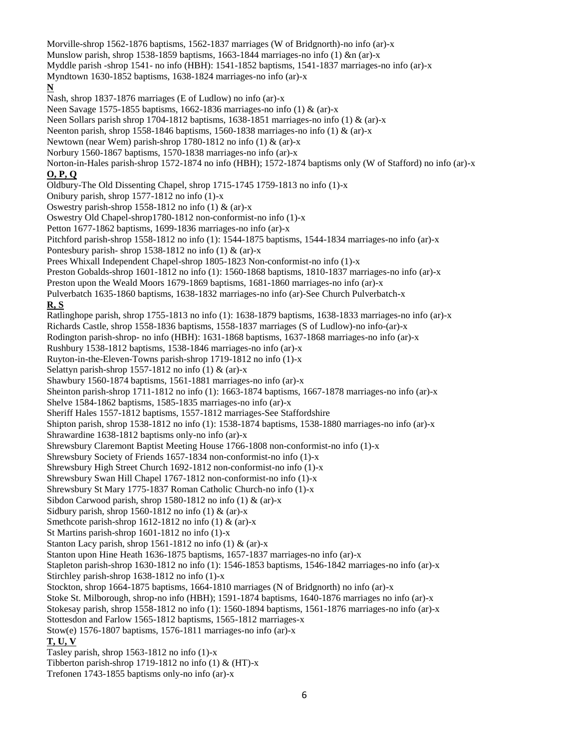Morville-shrop 1562-1876 baptisms, 1562-1837 marriages (W of Bridgnorth)-no info (ar)-x Munslow parish, shrop 1538-1859 baptisms, 1663-1844 marriages-no info  $(1)$  &n  $(ar)-x$ Myddle parish -shrop 1541- no info (HBH): 1541-1852 baptisms, 1541-1837 marriages-no info (ar)-x Myndtown 1630-1852 baptisms, 1638-1824 marriages-no info (ar)-x **N** Nash, shrop 1837-1876 marriages (E of Ludlow) no info (ar)-x Neen Savage 1575-1855 baptisms, 1662-1836 marriages-no info (1) & (ar)-x Neen Sollars parish shrop 1704-1812 baptisms, 1638-1851 marriages-no info (1) & (ar)-x Neenton parish, shrop 1558-1846 baptisms, 1560-1838 marriages-no info  $(1)$  &  $(ar)-x$ Newtown (near Wem) parish-shrop 1780-1812 no info  $(1)$  &  $(ar)$ -x Norbury 1560-1867 baptisms, 1570-1838 marriages-no info (ar)-x Norton-in-Hales parish-shrop 1572-1874 no info (HBH); 1572-1874 baptisms only (W of Stafford) no info (ar)-x **O, P, Q** Oldbury-The Old Dissenting Chapel, shrop 1715-1745 1759-1813 no info (1)-x Onibury parish, shrop 1577-1812 no info (1)-x Oswestry parish-shrop 1558-1812 no info  $(1)$  &  $(ar)-x$ Oswestry Old Chapel-shrop1780-1812 non-conformist-no info (1)-x Petton 1677-1862 baptisms, 1699-1836 marriages-no info (ar)-x Pitchford parish-shrop 1558-1812 no info (1): 1544-1875 baptisms, 1544-1834 marriages-no info (ar)-x Pontesbury parish-shrop 1538-1812 no info  $(1)$  &  $(ar)-x$ Prees Whixall Independent Chapel-shrop 1805-1823 Non-conformist-no info (1)-x Preston Gobalds-shrop 1601-1812 no info (1): 1560-1868 baptisms, 1810-1837 marriages-no info (ar)-x Preston upon the Weald Moors 1679-1869 baptisms, 1681-1860 marriages-no info (ar)-x Pulverbatch 1635-1860 baptisms, 1638-1832 marriages-no info (ar)-See Church Pulverbatch-x **R, S** Ratlinghope parish, shrop 1755-1813 no info (1): 1638-1879 baptisms, 1638-1833 marriages-no info (ar)-x Richards Castle, shrop 1558-1836 baptisms, 1558-1837 marriages (S of Ludlow)-no info-(ar)-x Rodington parish-shrop- no info (HBH): 1631-1868 baptisms, 1637-1868 marriages-no info (ar)-x Rushbury 1538-1812 baptisms, 1538-1846 marriages-no info (ar)-x Ruyton-in-the-Eleven-Towns parish-shrop 1719-1812 no info (1)-x Selattyn parish-shrop 1557-1812 no info  $(1)$  &  $(ar)$ -x Shawbury 1560-1874 baptisms, 1561-1881 marriages-no info (ar)-x Sheinton parish-shrop 1711-1812 no info (1): 1663-1874 baptisms, 1667-1878 marriages-no info (ar)-x Shelve 1584-1862 baptisms, 1585-1835 marriages-no info (ar)-x Sheriff Hales 1557-1812 baptisms, 1557-1812 marriages-See Staffordshire Shipton parish, shrop 1538-1812 no info (1): 1538-1874 baptisms, 1538-1880 marriages-no info (ar)-x Shrawardine 1638-1812 baptisms only-no info (ar)-x Shrewsbury Claremont Baptist Meeting House 1766-1808 non-conformist-no info (1)-x Shrewsbury Society of Friends 1657-1834 non-conformist-no info (1)-x Shrewsbury High Street Church 1692-1812 non-conformist-no info (1)-x Shrewsbury Swan Hill Chapel 1767-1812 non-conformist-no info (1)-x Shrewsbury St Mary 1775-1837 Roman Catholic Church-no info (1)-x Sibdon Carwood parish, shrop 1580-1812 no info  $(1)$  &  $(ar)-x$ Sidbury parish, shrop 1560-1812 no info  $(1)$  &  $(ar)$ -x Smethcote parish-shrop 1612-1812 no info  $(1)$  &  $(ar)-x$ St Martins parish-shrop 1601-1812 no info (1)-x Stanton Lacy parish, shrop 1561-1812 no info  $(1)$  &  $(ar)-x$ Stanton upon Hine Heath 1636-1875 baptisms, 1657-1837 marriages-no info (ar)-x Stapleton parish-shrop 1630-1812 no info (1): 1546-1853 baptisms, 1546-1842 marriages-no info (ar)-x Stirchley parish-shrop 1638-1812 no info (1)-x Stockton, shrop 1664-1875 baptisms, 1664-1810 marriages (N of Bridgnorth) no info (ar)-x Stoke St. Milborough, shrop-no info (HBH); 1591-1874 baptisms, 1640-1876 marriages no info (ar)-x Stokesay parish, shrop 1558-1812 no info (1): 1560-1894 baptisms, 1561-1876 marriages-no info (ar)-x Stottesdon and Farlow 1565-1812 baptisms, 1565-1812 marriages-x Stow(e) 1576-1807 baptisms, 1576-1811 marriages-no info (ar)-x **T, U, V** Tasley parish, shrop 1563-1812 no info (1)-x Tibberton parish-shrop 1719-1812 no info  $(1)$  &  $(HT)$ -x Trefonen 1743-1855 baptisms only-no info (ar)-x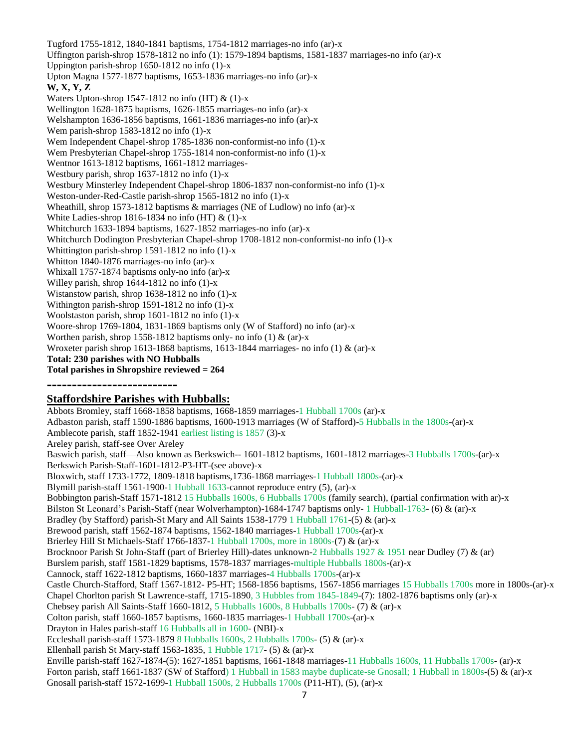Tugford 1755-1812, 1840-1841 baptisms, 1754-1812 marriages-no info (ar)-x Uffington parish-shrop 1578-1812 no info (1): 1579-1894 baptisms, 1581-1837 marriages-no info (ar)-x Uppington parish-shrop 1650-1812 no info (1)-x Upton Magna 1577-1877 baptisms, 1653-1836 marriages-no info (ar)-x **W, X, Y, Z** Waters Upton-shrop 1547-1812 no info (HT) & (1)-x Wellington 1628-1875 baptisms, 1626-1855 marriages-no info (ar)-x Welshampton 1636-1856 baptisms, 1661-1836 marriages-no info (ar)-x Wem parish-shrop 1583-1812 no info (1)-x Wem Independent Chapel-shrop 1785-1836 non-conformist-no info (1)-x Wem Presbyterian Chapel-shrop 1755-1814 non-conformist-no info (1)-x Wentnor 1613-1812 baptisms, 1661-1812 marriages-Westbury parish, shrop 1637-1812 no info (1)-x Westbury Minsterley Independent Chapel-shrop 1806-1837 non-conformist-no info (1)-x Weston-under-Red-Castle parish-shrop 1565-1812 no info (1)-x Wheathill, shrop 1573-1812 baptisms & marriages (NE of Ludlow) no info (ar)-x White Ladies-shrop 1816-1834 no info (HT) & (1)-x Whitchurch 1633-1894 baptisms, 1627-1852 marriages-no info (ar)-x Whitchurch Dodington Presbyterian Chapel-shrop 1708-1812 non-conformist-no info (1)-x Whittington parish-shrop 1591-1812 no info (1)-x Whitton 1840-1876 marriages-no info (ar)-x Whixall 1757-1874 baptisms only-no info (ar)-x Willey parish, shrop 1644-1812 no info (1)-x Wistanstow parish, shrop 1638-1812 no info (1)-x Withington parish-shrop 1591-1812 no info (1)-x Woolstaston parish, shrop 1601-1812 no info (1)-x Woore-shrop 1769-1804, 1831-1869 baptisms only (W of Stafford) no info (ar)-x Worthen parish, shrop 1558-1812 baptisms only- no info (1) & (ar)-x Wroxeter parish shrop 1613-1868 baptisms, 1613-1844 marriages- no info (1) & (ar)-x **Total: 230 parishes with NO Hubballs Total parishes in Shropshire reviewed = 264**

**--------------------------**

# **Staffordshire Parishes with Hubballs:**

Abbots Bromley, staff 1668-1858 baptisms, 1668-1859 marriages-1 Hubball 1700s (ar)-x Adbaston parish, staff 1590-1886 baptisms, 1600-1913 marriages (W of Stafford)-5 Hubballs in the 1800s-(ar)-x Amblecote parish, staff 1852-1941 earliest listing is 1857 (3)-x Areley parish, staff-see Over Areley Baswich parish, staff—Also known as Berkswich-- 1601-1812 baptisms, 1601-1812 marriages-3 Hubballs 1700s-(ar)-x Berkswich Parish-Staff-1601-1812-P3-HT-(see above)-x Bloxwich, staff 1733-1772, 1809-1818 baptisms,1736-1868 marriages-1 Hubball 1800s-(ar)-x Blymill parish-staff 1561-1900-1 Hubball 1633-cannot reproduce entry (5), (ar)-x Bobbington parish-Staff 1571-1812 15 Hubballs 1600s, 6 Hubballs 1700s (family search), (partial confirmation with ar)-x Bilston St Leonard's Parish-Staff (near Wolverhampton)-1684-1747 baptisms only- 1 Hubball-1763- (6) & (ar)-x Bradley (by Stafford) parish-St Mary and All Saints 1538-1779 1 Hubball 1761-(5) & (ar)-x Brewood parish, staff 1562-1874 baptisms, 1562-1840 marriages-1 Hubball 1700s-(ar)-x Brierley Hill St Michaels-Staff 1766-1837-1 Hubball 1700s, more in 1800s-(7) & (ar)-x Brocknoor Parish St John-Staff (part of Brierley Hill)-dates unknown-2 Hubballs 1927 & 1951 near Dudley (7) & (ar) Burslem parish, staff 1581-1829 baptisms, 1578-1837 marriages-multiple Hubballs 1800s-(ar)-x Cannock, staff 1622-1812 baptisms, 1660-1837 marriages-4 Hubballs 1700s-(ar)-x Castle Church-Stafford, Staff 1567-1812- P5-HT; 1568-1856 baptisms, 1567-1856 marriages 15 Hubballs 1700s more in 1800s-(ar)-x Chapel Chorlton parish St Lawrence-staff, 1715-1890, 3 Hubbles from 1845-1849-(7): 1802-1876 baptisms only (ar)-x Chebsey parish All Saints-Staff 1660-1812, 5 Hubballs 1600s, 8 Hubballs 1700s- (7) & (ar)-x Colton parish, staff 1660-1857 baptisms, 1660-1835 marriages-1 Hubball 1700s-(ar)-x Drayton in Hales parish-staff 16 Hubballs all in 1600- (NBI)-x Eccleshall parish-staff 1573-1879 8 Hubballs 1600s, 2 Hubballs 1700s- (5) & (ar)-x Ellenhall parish St Mary-staff 1563-1835, 1 Hubble 1717- (5) & (ar)-x Enville parish-staff 1627-1874-(5): 1627-1851 baptisms, 1661-1848 marriages-11 Hubballs 1600s, 11 Hubballs 1700s- (ar)-x Forton parish, staff 1661-1837 (SW of Stafford) 1 Hubball in 1583 maybe duplicate-se Gnosall; 1 Hubball in 1800s-(5) & (ar)-x Gnosall parish-staff 1572-1699-1 Hubball 1500s, 2 Hubballs 1700s (P11-HT), (5), (ar)-x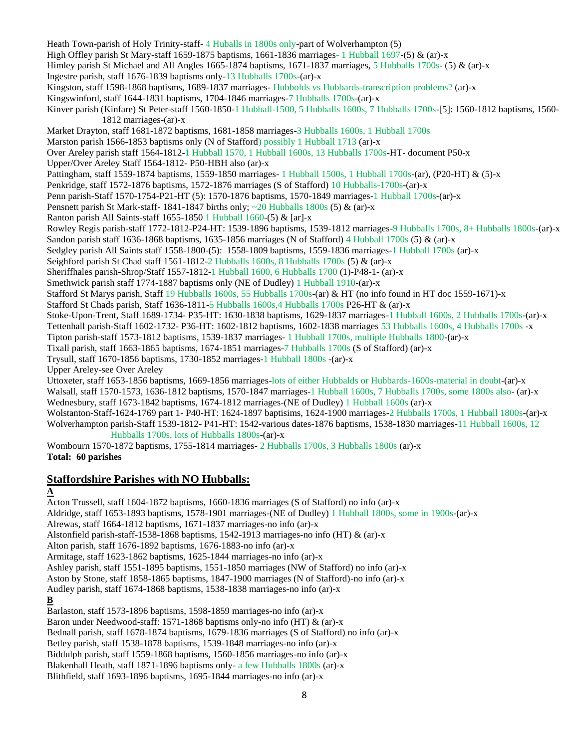Heath Town-parish of Holy Trinity-staff- 4 Huballs in 1800s only-part of Wolverhampton (5) High Offley parish St Mary-staff 1659-1875 baptisms, 1661-1836 marriages- 1 Hubball 1697-(5) & (ar)-x Himley parish St Michael and All Angles 1665-1874 baptisms, 1671-1837 marriages, 5 Hubballs 1700s- (5) & (ar)-x Ingestre parish, staff 1676-1839 baptisms only-13 Hubballs 1700s-(ar)-x Kingston, staff 1598-1868 baptisms, 1689-1837 marriages- Hubbolds vs Hubbards-transcription problems? (ar)-x Kingswinford, staff 1644-1831 baptisms, 1704-1846 marriages-7 Hubballs 1700s-(ar)-x Kinver parish (Kinfare) St Peter-staff 1560-1850-1 Hubball-1500, 5 Hubballs 1600s, 7 Hubballs 1700s-[5]: 1560-1812 baptisms, 1560- 1812 marriages-(ar)-x Market Drayton, staff 1681-1872 baptisms, 1681-1858 marriages-3 Hubballs 1600s, 1 Hubball 1700s Marston parish 1566-1853 baptisms only (N of Stafford) possibly 1 Hubball 1713 (ar)-x Over Areley parish staff 1564-1812-1 Hubball 1570, 1 Hubball 1600s, 13 Hubballs 1700s-HT- document P50-x Upper/Over Areley Staff 1564-1812- P50-HBH also (ar)-x Pattingham, staff 1559-1874 baptisms, 1559-1850 marriages- 1 Hubball 1500s, 1 Hubball 1700s-(ar), (P20-HT) & (5)-x Penkridge, staff 1572-1876 baptisms, 1572-1876 marriages (S of Stafford) 10 Hubballs-1700s-(ar)-x Penn parish-Staff 1570-1754-P21-HT (5): 1570-1876 baptisms, 1570-1849 marriages-1 Hubball 1700s-(ar)-x Pensnett parish St Mark-staff- 1841-1847 births only;  $\sim$  20 Hubballs 1800s (5) & (ar)-x Ranton parish All Saints-staff 1655-1850 1 Hubball 1660-(5) & [ar]-x Rowley Regis parish-staff 1772-1812-P24-HT: 1539-1896 baptisms, 1539-1812 marriages-9 Hubballs 1700s, 8+ Hubballs 1800s-(ar)-x Sandon parish staff 1636-1868 baptisms, 1635-1856 marriages (N of Stafford) 4 Hubball 1700s (5) & (ar)-x Sedgley parish All Saints staff 1558-1800-(5): 1558-1809 baptisms, 1559-1836 marriages-1 Hubball 1700s (ar)-x Seighford parish St Chad staff 1561-1812-2 Hubballs 1600s, 8 Hubballs 1700s (5) & (ar)-x Sheriffhales parish-Shrop/Staff 1557-1812-1 Hubball 1600, 6 Hubballs 1700 (1)-P48-1- (ar)-x Smethwick parish staff 1774-1887 baptisms only (NE of Dudley) 1 Hubball 1910-(ar)-x Stafford St Marys parish, Staff 19 Hubballs 1600s, 55 Hubballs 1700s-(ar) & HT (no info found in HT doc 1559-1671)-x Stafford St Chads parish, Staff 1636-1811-5 Hubballs 1600s,4 Hubballs 1700s P26-HT & (ar)-x Stoke-Upon-Trent, Staff 1689-1734- P35-HT: 1630-1838 baptisms, 1629-1837 marriages-1 Hubball 1600s, 2 Hubballs 1700s-(ar)-x Tettenhall parish-Staff 1602-1732- P36-HT: 1602-1812 baptisms, 1602-1838 marriages 53 Hubballs 1600s, 4 Hubballs 1700s -x Tipton parish-staff 1573-1812 baptisms, 1539-1837 marriages- 1 Hubball 1700s, multiple Hubballs 1800-(ar)-x Tixall parish, staff 1663-1865 baptisms, 1674-1851 marriages-7 Hubballs 1700s (S of Stafford) (ar)-x Trysull, staff 1670-1856 baptisms, 1730-1852 marriages-1 Hubball 1800s -(ar)-x Upper Areley-see Over Areley Uttoxeter, staff 1653-1856 baptisms, 1669-1856 marriages-lots of either Hubbalds or Hubbards-1600s-material in doubt-(ar)-x Walsall, staff 1570-1573, 1636-1812 baptisms, 1570-1847 marriages-1 Hubball 1600s, 7 Hubballs 1700s, some 1800s also- (ar)-x Wednesbury, staff 1673-1842 baptisms, 1674-1812 marriages-(NE of Dudley) 1 Hubball 1600s (ar)-x

Wolstanton-Staff-1624-1769 part 1- P40-HT: 1624-1897 baptisims, 1624-1900 marriages-2 Hubballs 1700s, 1 Hubball 1800s-(ar)-x Wolverhampton parish-Staff 1539-1812- P41-HT: 1542-various dates-1876 baptisms, 1538-1830 marriages-11 Hubball 1600s, 12 Hubballs 1700s, lots of Hubballs 1800s-(ar)-x

Wombourn 1570-1872 baptisms, 1755-1814 marriages- 2 Hubballs 1700s, 3 Hubballs 1800s (ar)-x **Total: 60 parishes**

# **Staffordshire Parishes with NO Hubballs:**

# **A**

Acton Trussell, staff 1604-1872 baptisms, 1660-1836 marriages (S of Stafford) no info (ar)-x Aldridge, staff 1653-1893 baptisms, 1578-1901 marriages-(NE of Dudley) 1 Hubball 1800s, some in 1900s-(ar)-x Alrewas, staff 1664-1812 baptisms, 1671-1837 marriages-no info (ar)-x Alstonfield parish-staff-1538-1868 baptisms, 1542-1913 marriages-no info (HT) & (ar)-x Alton parish, staff 1676-1892 baptisms, 1676-1883-no info (ar)-x Armitage, staff 1623-1862 baptisms, 1625-1844 marriages-no info (ar)-x Ashley parish, staff 1551-1895 baptisms, 1551-1850 marriages (NW of Stafford) no info (ar)-x Aston by Stone, staff 1858-1865 baptisms, 1847-1900 marriages (N of Stafford)-no info (ar)-x Audley parish, staff 1674-1868 baptisms, 1538-1838 marriages-no info (ar)-x **B** Barlaston, staff 1573-1896 baptisms, 1598-1859 marriages-no info (ar)-x Baron under Needwood-staff: 1571-1868 baptisms only-no info (HT) & (ar)-x Bednall parish, staff 1678-1874 baptisms, 1679-1836 marriages (S of Stafford) no info (ar)-x Betley parish, staff 1538-1878 baptisms, 1539-1848 marriages-no info (ar)-x

Biddulph parish, staff 1559-1868 baptisms, 1560-1856 marriages-no info (ar)-x Blakenhall Heath, staff 1871-1896 baptisms only- a few Hubballs 1800s (ar)-x

Blithfield, staff 1693-1896 baptisms, 1695-1844 marriages-no info (ar)-x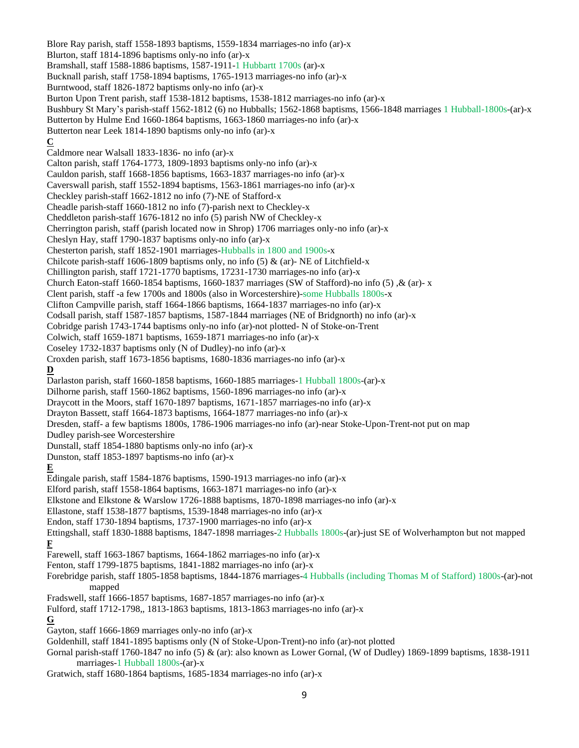Blore Ray parish, staff 1558-1893 baptisms, 1559-1834 marriages-no info (ar)-x Blurton, staff 1814-1896 baptisms only-no info (ar)-x Bramshall, staff 1588-1886 baptisms, 1587-1911-1 Hubbartt 1700s (ar)-x Bucknall parish, staff 1758-1894 baptisms, 1765-1913 marriages-no info (ar)-x Burntwood, staff 1826-1872 baptisms only-no info (ar)-x Burton Upon Trent parish, staff 1538-1812 baptisms, 1538-1812 marriages-no info (ar)-x Bushbury St Mary's parish-staff 1562-1812 (6) no Hubballs; 1562-1868 baptisms, 1566-1848 marriages 1 Hubball-1800s-(ar)-x Butterton by Hulme End 1660-1864 baptisms, 1663-1860 marriages-no info (ar)-x Butterton near Leek 1814-1890 baptisms only-no info (ar)-x **C** Caldmore near Walsall 1833-1836- no info (ar)-x Calton parish, staff 1764-1773, 1809-1893 baptisms only-no info (ar)-x Cauldon parish, staff 1668-1856 baptisms, 1663-1837 marriages-no info (ar)-x Caverswall parish, staff 1552-1894 baptisms, 1563-1861 marriages-no info (ar)-x Checkley parish-staff 1662-1812 no info (7)-NE of Stafford-x Cheadle parish-staff 1660-1812 no info (7)-parish next to Checkley-x Cheddleton parish-staff 1676-1812 no info (5) parish NW of Checkley-x Cherrington parish, staff (parish located now in Shrop) 1706 marriages only-no info (ar)-x Cheslyn Hay, staff 1790-1837 baptisms only-no info (ar)-x Chesterton parish, staff 1852-1901 marriages-Hubballs in 1800 and 1900s-x Chilcote parish-staff 1606-1809 baptisms only, no info  $(5)$  & (ar)-NE of Litchfield-x Chillington parish, staff 1721-1770 baptisms, 17231-1730 marriages-no info (ar)-x Church Eaton-staff 1660-1854 baptisms, 1660-1837 marriages (SW of Stafford)-no info (5) ,& (ar)- x Clent parish, staff -a few 1700s and 1800s (also in Worcestershire)-some Hubballs 1800s-x Clifton Campville parish, staff 1664-1866 baptisms, 1664-1837 marriages-no info (ar)-x Codsall parish, staff 1587-1857 baptisms, 1587-1844 marriages (NE of Bridgnorth) no info (ar)-x Cobridge parish 1743-1744 baptisms only-no info (ar)-not plotted- N of Stoke-on-Trent Colwich, staff 1659-1871 baptisms, 1659-1871 marriages-no info (ar)-x Coseley 1732-1837 baptisms only (N of Dudley)-no info (ar)-x Croxden parish, staff 1673-1856 baptisms, 1680-1836 marriages-no info (ar)-x **D** Darlaston parish, staff 1660-1858 baptisms, 1660-1885 marriages-1 Hubball 1800s-(ar)-x Dilhorne parish, staff 1560-1862 baptisms, 1560-1896 marriages-no info (ar)-x Draycott in the Moors, staff 1670-1897 baptisms, 1671-1857 marriages-no info (ar)-x Drayton Bassett, staff 1664-1873 baptisms, 1664-1877 marriages-no info (ar)-x Dresden, staff- a few baptisms 1800s, 1786-1906 marriages-no info (ar)-near Stoke-Upon-Trent-not put on map Dudley parish-see Worcestershire Dunstall, staff 1854-1880 baptisms only-no info (ar)-x Dunston, staff 1853-1897 baptisms-no info (ar)-x **E** Edingale parish, staff 1584-1876 baptisms, 1590-1913 marriages-no info (ar)-x Elford parish, staff 1558-1864 baptisms, 1663-1871 marriages-no info (ar)-x Elkstone and Elkstone & Warslow 1726-1888 baptisms, 1870-1898 marriages-no info (ar)-x Ellastone, staff 1538-1877 baptisms, 1539-1848 marriages-no info (ar)-x Endon, staff 1730-1894 baptisms, 1737-1900 marriages-no info (ar)-x Ettingshall, staff 1830-1888 baptisms, 1847-1898 marriages-2 Hubballs 1800s-(ar)-just SE of Wolverhampton but not mapped **F** Farewell, staff 1663-1867 baptisms, 1664-1862 marriages-no info (ar)-x Fenton, staff 1799-1875 baptisms, 1841-1882 marriages-no info (ar)-x Forebridge parish, staff 1805-1858 baptisms, 1844-1876 marriages-4 Hubballs (including Thomas M of Stafford) 1800s-(ar)-not mapped Fradswell, staff 1666-1857 baptisms, 1687-1857 marriages-no info (ar)-x Fulford, staff 1712-1798,, 1813-1863 baptisms, 1813-1863 marriages-no info (ar)-x **G** Gayton, staff 1666-1869 marriages only-no info (ar)-x Goldenhill, staff 1841-1895 baptisms only (N of Stoke-Upon-Trent)-no info (ar)-not plotted Gornal parish-staff 1760-1847 no info (5) & (ar): also known as Lower Gornal, (W of Dudley) 1869-1899 baptisms, 1838-1911 marriages-1 Hubball 1800s-(ar)-x Gratwich, staff 1680-1864 baptisms, 1685-1834 marriages-no info (ar)-x

9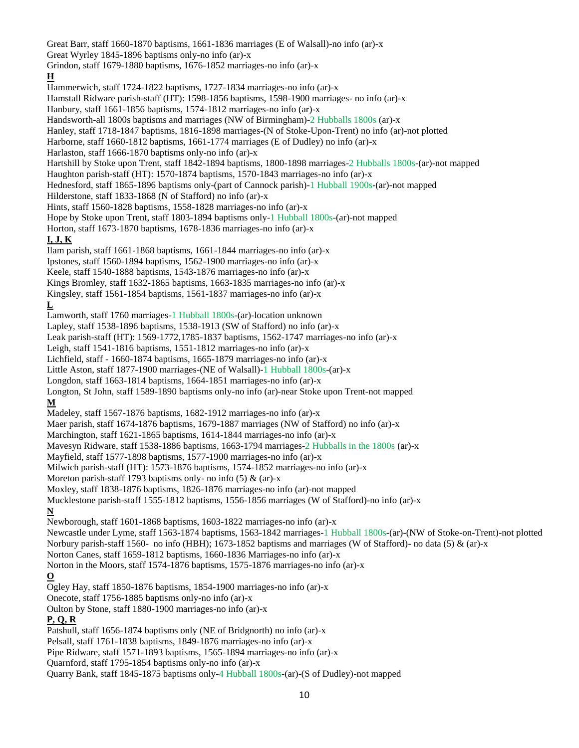Great Barr, staff 1660-1870 baptisms, 1661-1836 marriages (E of Walsall)-no info (ar)-x Great Wyrley 1845-1896 baptisms only-no info (ar)-x Grindon, staff 1679-1880 baptisms, 1676-1852 marriages-no info (ar)-x **H** Hammerwich, staff 1724-1822 baptisms, 1727-1834 marriages-no info (ar)-x Hamstall Ridware parish-staff (HT): 1598-1856 baptisms, 1598-1900 marriages- no info (ar)-x Hanbury, staff 1661-1856 baptisms, 1574-1812 marriages-no info (ar)-x Handsworth-all 1800s baptisms and marriages (NW of Birmingham)-2 Hubballs 1800s (ar)-x Hanley, staff 1718-1847 baptisms, 1816-1898 marriages-(N of Stoke-Upon-Trent) no info (ar)-not plotted Harborne, staff 1660-1812 baptisms, 1661-1774 marriages (E of Dudley) no info (ar)-x Harlaston, staff 1666-1870 baptisms only-no info (ar)-x Hartshill by Stoke upon Trent, staff 1842-1894 baptisms, 1800-1898 marriages-2 Hubballs 1800s-(ar)-not mapped Haughton parish-staff (HT): 1570-1874 baptisms, 1570-1843 marriages-no info (ar)-x Hednesford, staff 1865-1896 baptisms only-(part of Cannock parish)-1 Hubball 1900s-(ar)-not mapped Hilderstone, staff 1833-1868 (N of Stafford) no info (ar)-x Hints, staff 1560-1828 baptisms, 1558-1828 marriages-no info (ar)-x Hope by Stoke upon Trent, staff 1803-1894 baptisms only-1 Hubball 1800s-(ar)-not mapped Horton, staff 1673-1870 baptisms, 1678-1836 marriages-no info (ar)-x **I, J, K** Ilam parish, staff 1661-1868 baptisms, 1661-1844 marriages-no info (ar)-x Ipstones, staff 1560-1894 baptisms, 1562-1900 marriages-no info (ar)-x Keele, staff 1540-1888 baptisms, 1543-1876 marriages-no info (ar)-x Kings Bromley, staff 1632-1865 baptisms, 1663-1835 marriages-no info (ar)-x Kingsley, staff 1561-1854 baptisms, 1561-1837 marriages-no info (ar)-x **L** Lamworth, staff 1760 marriages-1 Hubball 1800s-(ar)-location unknown Lapley, staff 1538-1896 baptisms, 1538-1913 (SW of Stafford) no info (ar)-x Leak parish-staff (HT): 1569-1772,1785-1837 baptisms, 1562-1747 marriages-no info (ar)-x Leigh, staff 1541-1816 baptisms, 1551-1812 marriages-no info (ar)-x Lichfield, staff - 1660-1874 baptisms, 1665-1879 marriages-no info (ar)-x Little Aston, staff 1877-1900 marriages-(NE of Walsall)-1 Hubball 1800s-(ar)-x Longdon, staff 1663-1814 baptisms, 1664-1851 marriages-no info (ar)-x Longton, St John, staff 1589-1890 baptisms only-no info (ar)-near Stoke upon Trent-not mapped **M** Madeley, staff 1567-1876 baptisms, 1682-1912 marriages-no info (ar)-x Maer parish, staff 1674-1876 baptisms, 1679-1887 marriages (NW of Stafford) no info (ar)-x Marchington, staff 1621-1865 baptisms, 1614-1844 marriages-no info (ar)-x Mavesyn Ridware, staff 1538-1886 baptisms, 1663-1794 marriages-2 Hubballs in the 1800s (ar)-x Mayfield, staff 1577-1898 baptisms, 1577-1900 marriages-no info (ar)-x Milwich parish-staff (HT): 1573-1876 baptisms, 1574-1852 marriages-no info (ar)-x Moreton parish-staff 1793 baptisms only- no info  $(5)$  &  $(ar)-x$ Moxley, staff 1838-1876 baptisms, 1826-1876 marriages-no info (ar)-not mapped Mucklestone parish-staff 1555-1812 baptisms, 1556-1856 marriages (W of Stafford)-no info (ar)-x **N** Newborough, staff 1601-1868 baptisms, 1603-1822 marriages-no info (ar)-x Newcastle under Lyme, staff 1563-1874 baptisms, 1563-1842 marriages-1 Hubball 1800s-(ar)-(NW of Stoke-on-Trent)-not plotted Norbury parish-staff 1560- no info (HBH); 1673-1852 baptisms and marriages (W of Stafford)- no data (5) & (ar)-x Norton Canes, staff 1659-1812 baptisms, 1660-1836 Marriages-no info (ar)-x Norton in the Moors, staff 1574-1876 baptisms, 1575-1876 marriages-no info (ar)-x **O** Ogley Hay, staff 1850-1876 baptisms, 1854-1900 marriages-no info (ar)-x Onecote, staff 1756-1885 baptisms only-no info (ar)-x Oulton by Stone, staff 1880-1900 marriages-no info (ar)-x **P, Q, R** Patshull, staff 1656-1874 baptisms only (NE of Bridgnorth) no info (ar)-x Pelsall, staff 1761-1838 baptisms, 1849-1876 marriages-no info (ar)-x Pipe Ridware, staff 1571-1893 baptisms, 1565-1894 marriages-no info (ar)-x Quarnford, staff 1795-1854 baptisms only-no info (ar)-x

Quarry Bank, staff 1845-1875 baptisms only-4 Hubball 1800s-(ar)-(S of Dudley)-not mapped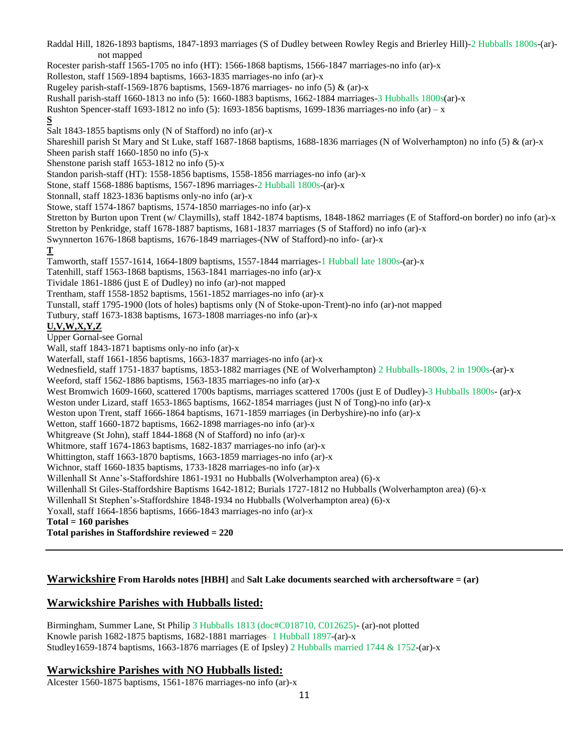Raddal Hill, 1826-1893 baptisms, 1847-1893 marriages (S of Dudley between Rowley Regis and Brierley Hill)-2 Hubballs 1800s-(ar) not mapped Rocester parish-staff 1565-1705 no info (HT): 1566-1868 baptisms, 1566-1847 marriages-no info (ar)-x Rolleston, staff 1569-1894 baptisms, 1663-1835 marriages-no info (ar)-x Rugeley parish-staff-1569-1876 baptisms, 1569-1876 marriages- no info  $(5)$  &  $(ar)$ -x Rushall parish-staff 1660-1813 no info (5): 1660-1883 baptisms, 1662-1884 marriages-3 Hubballs 1800s(ar)-x Rushton Spencer-staff 1693-1812 no info (5): 1693-1856 baptisms, 1699-1836 marriages-no info (ar) – x **S** Salt 1843-1855 baptisms only (N of Stafford) no info (ar)-x Shareshill parish St Mary and St Luke, staff 1687-1868 baptisms, 1688-1836 marriages (N of Wolverhampton) no info (5) & (ar)-x Sheen parish staff 1660-1850 no info (5)-x Shenstone parish staff 1653-1812 no info (5)-x Standon parish-staff (HT): 1558-1856 baptisms, 1558-1856 marriages-no info (ar)-x Stone, staff 1568-1886 baptisms, 1567-1896 marriages-2 Hubball 1800s-(ar)-x Stonnall, staff 1823-1836 baptisms only-no info (ar)-x Stowe, staff 1574-1867 baptisms, 1574-1850 marriages-no info (ar)-x Stretton by Burton upon Trent (w/ Claymills), staff 1842-1874 baptisms, 1848-1862 marriages (E of Stafford-on border) no info (ar)-x Stretton by Penkridge, staff 1678-1887 baptisms, 1681-1837 marriages (S of Stafford) no info (ar)-x Swynnerton 1676-1868 baptisms, 1676-1849 marriages-(NW of Stafford)-no info- (ar)-x **T** Tamworth, staff 1557-1614, 1664-1809 baptisms, 1557-1844 marriages-1 Hubball late 1800s-(ar)-x Tatenhill, staff 1563-1868 baptisms, 1563-1841 marriages-no info (ar)-x Tividale 1861-1886 (just E of Dudley) no info (ar)-not mapped Trentham, staff 1558-1852 baptisms, 1561-1852 marriages-no info (ar)-x Tunstall, staff 1795-1900 (lots of holes) baptisms only (N of Stoke-upon-Trent)-no info (ar)-not mapped Tutbury, staff 1673-1838 baptisms, 1673-1808 marriages-no info (ar)-x **U,V,W,X,Y,Z** Upper Gornal-see Gornal Wall, staff 1843-1871 baptisms only-no info (ar)-x Waterfall, staff 1661-1856 baptisms, 1663-1837 marriages-no info (ar)-x Wednesfield, staff 1751-1837 baptisms, 1853-1882 marriages (NE of Wolverhampton) 2 Hubballs-1800s, 2 in 1900s-(ar)-x Weeford, staff 1562-1886 baptisms, 1563-1835 marriages-no info (ar)-x West Bromwich 1609-1660, scattered 1700s baptisms, marriages scattered 1700s (just E of Dudley)-3 Hubballs 1800s- (ar)-x Weston under Lizard, staff 1653-1865 baptisms, 1662-1854 marriages (just N of Tong)-no info (ar)-x Weston upon Trent, staff 1666-1864 baptisms, 1671-1859 marriages (in Derbyshire)-no info (ar)-x Wetton, staff 1660-1872 baptisms, 1662-1898 marriages-no info (ar)-x Whitgreave (St John), staff 1844-1868 (N of Stafford) no info (ar)-x Whitmore, staff 1674-1863 baptisms, 1682-1837 marriages-no info (ar)-x Whittington, staff 1663-1870 baptisms, 1663-1859 marriages-no info (ar)-x Wichnor, staff 1660-1835 baptisms, 1733-1828 marriages-no info (ar)-x Willenhall St Anne's-Staffordshire 1861-1931 no Hubballs (Wolverhampton area) (6)-x Willenhall St Giles-Staffordshire Baptisms 1642-1812; Burials 1727-1812 no Hubballs (Wolverhampton area) (6)-x Willenhall St Stephen's-Staffordshire 1848-1934 no Hubballs (Wolverhampton area) (6)-x Yoxall, staff 1664-1856 baptisms, 1666-1843 marriages-no info (ar)-x **Total = 160 parishes Total parishes in Staffordshire reviewed = 220**

### **Warwickshire From Harolds notes [HBH]** and **Salt Lake documents searched with archersoftware = (ar)**

# **Warwickshire Parishes with Hubballs listed:**

Birmingham, Summer Lane, St Philip 3 Hubballs 1813 (doc#C018710, C012625)- (ar)-not plotted Knowle parish 1682-1875 baptisms, 1682-1881 marriages- 1 Hubball 1897-(ar)-x Studley1659-1874 baptisms, 1663-1876 marriages (E of Ipsley) 2 Hubballs married 1744 & 1752-(ar)-x

### **Warwickshire Parishes with NO Hubballs listed:**

Alcester 1560-1875 baptisms, 1561-1876 marriages-no info (ar)-x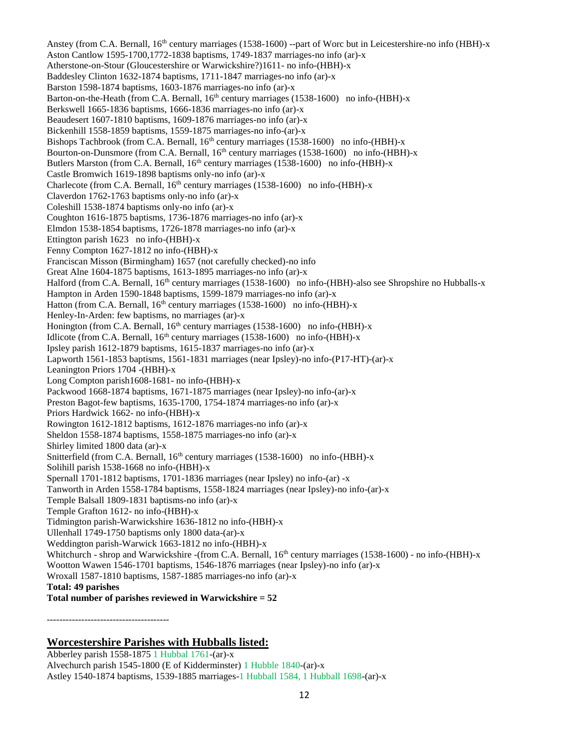Anstey (from C.A. Bernall, 16<sup>th</sup> century marriages (1538-1600) --part of Worc but in Leicestershire-no info (HBH)-x Aston Cantlow 1595-1700,1772-1838 baptisms, 1749-1837 marriages-no info (ar)-x Atherstone-on-Stour (Gloucestershire or Warwickshire?)1611- no info-(HBH)-x Baddesley Clinton 1632-1874 baptisms, 1711-1847 marriages-no info (ar)-x Barston 1598-1874 baptisms, 1603-1876 marriages-no info (ar)-x Barton-on-the-Heath (from C.A. Bernall, 16<sup>th</sup> century marriages (1538-1600) no info-(HBH)-x Berkswell 1665-1836 baptisms, 1666-1836 marriages-no info (ar)-x Beaudesert 1607-1810 baptisms, 1609-1876 marriages-no info (ar)-x Bickenhill 1558-1859 baptisms, 1559-1875 marriages-no info-(ar)-x Bishops Tachbrook (from C.A. Bernall,  $16<sup>th</sup>$  century marriages (1538-1600) no info-(HBH)-x Bourton-on-Dunsmore (from C.A. Bernall, 16<sup>th</sup> century marriages (1538-1600) no info-(HBH)-x Butlers Marston (from C.A. Bernall, 16<sup>th</sup> century marriages (1538-1600) no info-(HBH)-x Castle Bromwich 1619-1898 baptisms only-no info (ar)-x Charlecote (from C.A. Bernall, 16<sup>th</sup> century marriages (1538-1600) no info-(HBH)-x Claverdon 1762-1763 baptisms only-no info (ar)-x Coleshill 1538-1874 baptisms only-no info (ar)-x Coughton 1616-1875 baptisms, 1736-1876 marriages-no info (ar)-x Elmdon 1538-1854 baptisms, 1726-1878 marriages-no info (ar)-x Ettington parish 1623 no info-(HBH)-x Fenny Compton 1627-1812 no info-(HBH)-x Franciscan Misson (Birmingham) 1657 (not carefully checked)-no info Great Alne 1604-1875 baptisms, 1613-1895 marriages-no info (ar)-x Halford (from C.A. Bernall, 16<sup>th</sup> century marriages (1538-1600) no info-(HBH)-also see Shropshire no Hubballs-x Hampton in Arden 1590-1848 baptisms, 1599-1879 marriages-no info (ar)-x Hatton (from C.A. Bernall,  $16<sup>th</sup>$  century marriages (1538-1600) no info-(HBH)-x Henley-In-Arden: few baptisms, no marriages (ar)-x Honington (from C.A. Bernall,  $16<sup>th</sup>$  century marriages (1538-1600) no info-(HBH)-x Idlicote (from C.A. Bernall, 16<sup>th</sup> century marriages (1538-1600) no info-(HBH)-x Ipsley parish 1612-1879 baptisms, 1615-1837 marriages-no info (ar)-x Lapworth 1561-1853 baptisms, 1561-1831 marriages (near Ipsley)-no info-(P17-HT)-(ar)-x Leanington Priors 1704 -(HBH)-x Long Compton parish1608-1681- no info-(HBH)-x Packwood 1668-1874 baptisms, 1671-1875 marriages (near Ipsley)-no info-(ar)-x Preston Bagot-few baptisms, 1635-1700, 1754-1874 marriages-no info (ar)-x Priors Hardwick 1662- no info-(HBH)-x Rowington 1612-1812 baptisms, 1612-1876 marriages-no info (ar)-x Sheldon 1558-1874 baptisms, 1558-1875 marriages-no info (ar)-x Shirley limited 1800 data (ar)-x Snitterfield (from C.A. Bernall, 16<sup>th</sup> century marriages (1538-1600) no info-(HBH)-x Solihill parish 1538-1668 no info-(HBH)-x Spernall 1701-1812 baptisms, 1701-1836 marriages (near Ipsley) no info-(ar) -x Tanworth in Arden 1558-1784 baptisms, 1558-1824 marriages (near Ipsley)-no info-(ar)-x Temple Balsall 1809-1831 baptisms-no info (ar)-x Temple Grafton 1612- no info-(HBH)-x Tidmington parish-Warwickshire 1636-1812 no info-(HBH)-x Ullenhall 1749-1750 baptisms only 1800 data-(ar)-x Weddington parish-Warwick 1663-1812 no info-(HBH)-x Whitchurch - shrop and Warwickshire -(from C.A. Bernall, 16<sup>th</sup> century marriages (1538-1600) - no info-(HBH)-x Wootton Wawen 1546-1701 baptisms, 1546-1876 marriages (near Ipsley)-no info (ar)-x Wroxall 1587-1810 baptisms, 1587-1885 marriages-no info (ar)-x **Total: 49 parishes Total number of parishes reviewed in Warwickshire = 52**

---------------------------------------

# **Worcestershire Parishes with Hubballs listed:**

Abberley parish 1558-1875 1 Hubbal 1761-(ar)-x Alvechurch parish 1545-1800 (E of Kidderminster) 1 Hubble 1840-(ar)-x Astley 1540-1874 baptisms, 1539-1885 marriages-1 Hubball 1584, 1 Hubball 1698-(ar)-x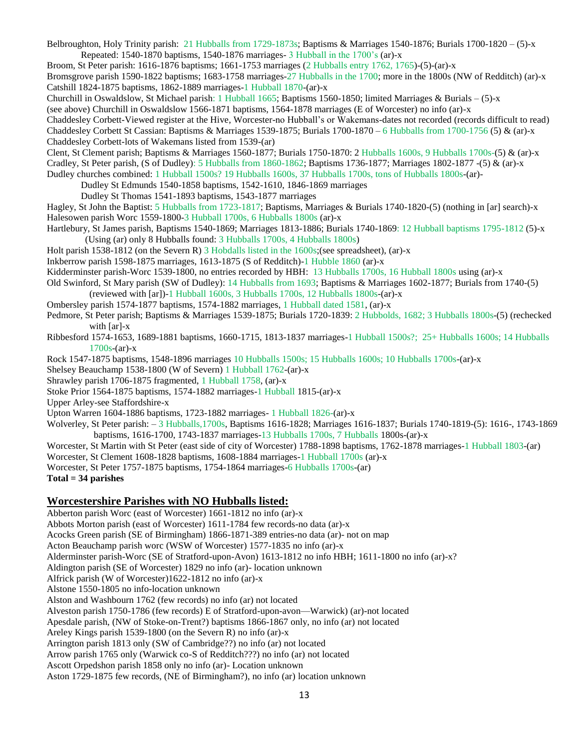Belbroughton, Holy Trinity parish: 21 Hubballs from 1729-1873s; Baptisms & Marriages 1540-1876; Burials 1700-1820 – (5)-x Repeated: 1540-1870 baptisms, 1540-1876 marriages- 3 Hubball in the 1700's (ar)-x

Broom, St Peter parish: 1616-1876 baptisms; 1661-1753 marriages (2 Hubballs entry 1762, 1765)-(5)-(ar)-x

Bromsgrove parish 1590-1822 baptisms; 1683-1758 marriages-27 Hubballs in the 1700; more in the 1800s (NW of Redditch) (ar)-x Catshill 1824-1875 baptisms, 1862-1889 marriages-1 Hubball 1870-(ar)-x

Churchill in Oswaldslow, St Michael parish: 1 Hubball 1665; Baptisms 1560-1850; limited Marriages & Burials – (5)-x

(see above) Churchill in Oswaldslow 1566-1871 baptisms, 1564-1878 marriages (E of Worcester) no info (ar)-x

Chaddesley Corbett-Viewed register at the Hive, Worcester-no Hubball's or Wakemans-dates not recorded (records difficult to read)

Chaddesley Corbett St Cassian: Baptisms & Marriages 1539-1875; Burials 1700-1870 – 6 Hubballs from 1700-1756 (5) & (ar)-x Chaddesley Corbett-lots of Wakemans listed from 1539-(ar)

Clent, St Clement parish; Baptisms & Marriages 1560-1877; Burials 1750-1870: 2 Hubballs 1600s, 9 Hubballs 1700s-(5) & (ar)-x Cradley, St Peter parish, (S of Dudley): 5 Hubballs from 1860-1862; Baptisms 1736-1877; Marriages 1802-1877 -(5) & (ar)-x

Dudley churches combined: 1 Hubball 1500s? 19 Hubballs 1600s, 37 Hubballs 1700s, tons of Hubballs 1800s-(ar)-

Dudley St Edmunds 1540-1858 baptisms, 1542-1610, 1846-1869 marriages

Dudley St Thomas 1541-1893 baptisms, 1543-1877 marriages

Hagley, St John the Baptist: 5 Hubballs from 1723-1817; Baptisms, Marriages & Burials 1740-1820-(5) (nothing in [ar] search)-x Halesowen parish Worc 1559-1800-3 Hubball 1700s, 6 Hubballs 1800s (ar)-x

Hartlebury, St James parish, Baptisms 1540-1869; Marriages 1813-1886; Burials 1740-1869: 12 Hubball baptisms 1795-1812 (5)-x (Using (ar) only 8 Hubballs found: 3 Hubballs 1700s, 4 Hubballs 1800s)

Holt parish 1538-1812 (on the Severn R) 3 Hobdalls listed in the 1600s;(see spreadsheet), (ar)-x

Inkberrow parish 1598-1875 marriages, 1613-1875 (S of Redditch)-1 Hubble 1860 (ar)-x

Kidderminster parish-Worc 1539-1800, no entries recorded by HBH: 13 Hubballs 1700s, 16 Hubball 1800s using (ar)-x

Old Swinford, St Mary parish (SW of Dudley): 14 Hubballs from 1693; Baptisms & Marriages 1602-1877; Burials from 1740-(5) (reviewed with [ar])-1 Hubball 1600s, 3 Hubballs 1700s, 12 Hubballs 1800s-(ar)-x

Ombersley parish 1574-1877 baptisms, 1574-1882 marriages, 1 Hubball dated 1581, (ar)-x

Pedmore, St Peter parish; Baptisms & Marriages 1539-1875; Burials 1720-1839: 2 Hubbolds, 1682; 3 Hubballs 1800s-(5) (rechecked with [ar]-x

Ribbesford 1574-1653, 1689-1881 baptisms, 1660-1715, 1813-1837 marriages-1 Hubball 1500s?; 25+ Hubballs 1600s; 14 Hubballs  $1700s-(ar)-x$ 

Rock 1547-1875 baptisms, 1548-1896 marriages 10 Hubballs 1500s; 15 Hubballs 1600s; 10 Hubballs 1700s-(ar)-x

Shelsey Beauchamp 1538-1800 (W of Severn) 1 Hubball 1762-(ar)-x

Shrawley parish 1706-1875 fragmented, 1 Hubball 1758, (ar)-x

Stoke Prior 1564-1875 baptisms, 1574-1882 marriages-1 Hubball 1815-(ar)-x

Upper Arley-see Staffordshire-x

Upton Warren 1604-1886 baptisms, 1723-1882 marriages- 1 Hubball 1826-(ar)-x

Wolverley, St Peter parish: – 3 Hubballs,1700s, Baptisms 1616-1828; Marriages 1616-1837; Burials 1740-1819-(5): 1616-, 1743-1869 baptisms, 1616-1700, 1743-1837 marriages-13 Hubballs 1700s, 7 Hubballs 1800s-(ar)-x

Worcester, St Martin with St Peter (east side of city of Worcester) 1788-1898 baptisms, 1762-1878 marriages-1 Hubball 1803-(ar)

Worcester, St Clement 1608-1828 baptisms, 1608-1884 marriages-1 Hubball 1700s (ar)-x

Worcester, St Peter 1757-1875 baptisms, 1754-1864 marriages-6 Hubballs 1700s-(ar)

**Total = 34 parishes**

# **Worcestershire Parishes with NO Hubballs listed:**

Abberton parish Worc (east of Worcester) 1661-1812 no info (ar)-x Abbots Morton parish (east of Worcester) 1611-1784 few records-no data (ar)-x Acocks Green parish (SE of Birmingham) 1866-1871-389 entries-no data (ar)- not on map Acton Beauchamp parish worc (WSW of Worcester) 1577-1835 no info (ar)-x Alderminster parish-Worc (SE of Stratford-upon-Avon) 1613-1812 no info HBH; 1611-1800 no info (ar)-x? Aldington parish (SE of Worcester) 1829 no info (ar)- location unknown Alfrick parish (W of Worcester)1622-1812 no info (ar)-x Alstone 1550-1805 no info-location unknown Alston and Washbourn 1762 (few records) no info (ar) not located Alveston parish 1750-1786 (few records) E of Stratford-upon-avon—Warwick) (ar)-not located Apesdale parish, (NW of Stoke-on-Trent?) baptisms 1866-1867 only, no info (ar) not located Areley Kings parish 1539-1800 (on the Severn R) no info (ar)-x Arrington parish 1813 only (SW of Cambridge??) no info (ar) not located Arrow parish 1765 only (Warwick co-S of Redditch???) no info (ar) not located Ascott Orpedshon parish 1858 only no info (ar)- Location unknown Aston 1729-1875 few records, (NE of Birmingham?), no info (ar) location unknown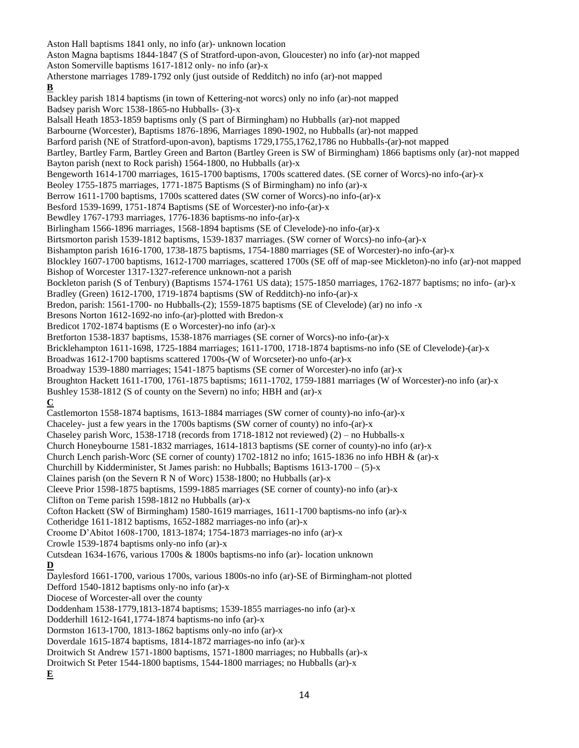Aston Hall baptisms 1841 only, no info (ar)- unknown location Aston Magna baptisms 1844-1847 (S of Stratford-upon-avon, Gloucester) no info (ar)-not mapped Aston Somerville baptisms 1617-1812 only- no info (ar)-x Atherstone marriages 1789-1792 only (just outside of Redditch) no info (ar)-not mapped **B** Backley parish 1814 baptisms (in town of Kettering-not worcs) only no info (ar)-not mapped Badsey parish Worc 1538-1865-no Hubballs- (3)-x Balsall Heath 1853-1859 baptisms only (S part of Birmingham) no Hubballs (ar)-not mapped Barbourne (Worcester), Baptisms 1876-1896, Marriages 1890-1902, no Hubballs (ar)-not mapped Barford parish (NE of Stratford-upon-avon), baptisms 1729,1755,1762,1786 no Hubballs-(ar)-not mapped Bartley, Bartley Farm, Bartley Green and Barton (Bartley Green is SW of Birmingham) 1866 baptisms only (ar)-not mapped Bayton parish (next to Rock parish) 1564-1800, no Hubballs (ar)-x Bengeworth 1614-1700 marriages, 1615-1700 baptisms, 1700s scattered dates. (SE corner of Worcs)-no info-(ar)-x Beoley 1755-1875 marriages, 1771-1875 Baptisms (S of Birmingham) no info (ar)-x Berrow 1611-1700 baptisms, 1700s scattered dates (SW corner of Worcs)-no info-(ar)-x Besford 1539-1699, 1751-1874 Baptisms (SE of Worcester)-no info-(ar)-x Bewdley 1767-1793 marriages, 1776-1836 baptisms-no info-(ar)-x Birlingham 1566-1896 marriages, 1568-1894 baptisms (SE of Clevelode)-no info-(ar)-x Birtsmorton parish 1539-1812 baptisms, 1539-1837 marriages. (SW corner of Worcs)-no info-(ar)-x Bishampton parish 1616-1700, 1738-1875 baptisms, 1754-1880 marriages (SE of Worcester)-no info-(ar)-x Blockley 1607-1700 baptisms, 1612-1700 marriages, scattered 1700s (SE off of map-see Mickleton)-no info (ar)-not mapped Bishop of Worcester 1317-1327-reference unknown-not a parish Bockleton parish (S of Tenbury) (Baptisms 1574-1761 US data); 1575-1850 marriages, 1762-1877 baptisms; no info- (ar)-x Bradley (Green) 1612-1700, 1719-1874 baptisms (SW of Redditch)-no info-(ar)-x Bredon, parish: 1561-1700- no Hubballs-(2); 1559-1875 baptisms (SE of Clevelode) (ar) no info -x Bresons Norton 1612-1692-no info-(ar)-plotted with Bredon-x Bredicot 1702-1874 baptisms (E o Worcester)-no info (ar)-x Bretforton 1538-1837 baptisms, 1538-1876 marriages (SE corner of Worcs)-no info-(ar)-x Bricklehampton 1611-1698, 1725-1884 marriages; 1611-1700, 1718-1874 baptisms-no info (SE of Clevelode)-(ar)-x Broadwas 1612-1700 baptisms scattered 1700s-(W of Worcseter)-no unfo-(ar)-x Broadway 1539-1880 marriages; 1541-1875 baptisms (SE corner of Worcester)-no info (ar)-x Broughton Hackett 1611-1700, 1761-1875 baptisms; 1611-1702, 1759-1881 marriages (W of Worcester)-no info (ar)-x Bushley 1538-1812 (S of county on the Severn) no info; HBH and (ar)-x **C** Castlemorton 1558-1874 baptisms, 1613-1884 marriages (SW corner of county)-no info-(ar)-x Chaceley- just a few years in the 1700s baptisms (SW corner of county) no info-(ar)-x Chaseley parish Worc, 1538-1718 (records from 1718-1812 not reviewed) (2) – no Hubballs-x Church Honeybourne 1581-1832 marriages, 1614-1813 baptisms (SE corner of county)-no info (ar)-x Church Lench parish-Worc (SE corner of county) 1702-1812 no info; 1615-1836 no info HBH & (ar)-x Churchill by Kidderminister, St James parish: no Hubballs; Baptisms 1613-1700 – (5)-x Claines parish (on the Severn R N of Worc) 1538-1800; no Hubballs (ar)-x Cleeve Prior 1598-1875 baptisms, 1599-1885 marriages (SE corner of county)-no info (ar)-x Clifton on Teme parish 1598-1812 no Hubballs (ar)-x Cofton Hackett (SW of Birmingham) 1580-1619 marriages, 1611-1700 baptisms-no info (ar)-x Cotheridge 1611-1812 baptisms, 1652-1882 marriages-no info (ar)-x Croome D'Abitot 1608-1700, 1813-1874; 1754-1873 marriages-no info (ar)-x Crowle 1539-1874 baptisms only-no info (ar)-x Cutsdean 1634-1676, various 1700s & 1800s baptisms-no info (ar)- location unknown **D** Daylesford 1661-1700, various 1700s, various 1800s-no info (ar)-SE of Birmingham-not plotted Defford 1540-1812 baptisms only-no info (ar)-x Diocese of Worcester-all over the county Doddenham 1538-1779,1813-1874 baptisms; 1539-1855 marriages-no info (ar)-x Dodderhill 1612-1641,1774-1874 baptisms-no info (ar)-x Dormston 1613-1700, 1813-1862 baptisms only-no info (ar)-x Doverdale 1615-1874 baptisms, 1814-1872 marriages-no info (ar)-x Droitwich St Andrew 1571-1800 baptisms, 1571-1800 marriages; no Hubballs (ar)-x Droitwich St Peter 1544-1800 baptisms, 1544-1800 marriages; no Hubballs (ar)-x **E**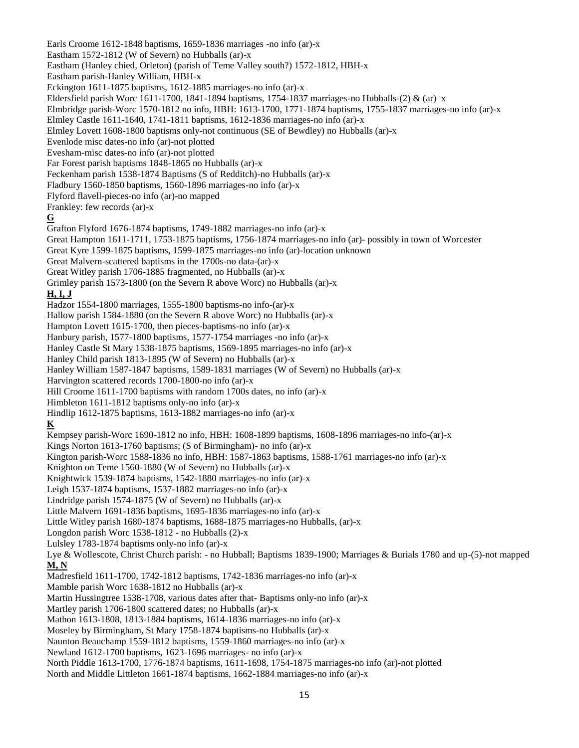Earls Croome 1612-1848 baptisms, 1659-1836 marriages -no info (ar)-x Eastham 1572-1812 (W of Severn) no Hubballs (ar)-x Eastham (Hanley chied, Orleton) (parish of Teme Valley south?) 1572-1812, HBH-x Eastham parish-Hanley William, HBH-x Eckington 1611-1875 baptisms, 1612-1885 marriages-no info (ar)-x Eldersfield parish Worc 1611-1700, 1841-1894 baptisms, 1754-1837 marriages-no Hubballs-(2) & (ar)–x Elmbridge parish-Worc 1570-1812 no info, HBH: 1613-1700, 1771-1874 baptisms, 1755-1837 marriages-no info (ar)-x Elmley Castle 1611-1640, 1741-1811 baptisms, 1612-1836 marriages-no info (ar)-x Elmley Lovett 1608-1800 baptisms only-not continuous (SE of Bewdley) no Hubballs (ar)-x Evenlode misc dates-no info (ar)-not plotted Evesham-misc dates-no info (ar)-not plotted Far Forest parish baptisms 1848-1865 no Hubballs (ar)-x Feckenham parish 1538-1874 Baptisms (S of Redditch)-no Hubballs (ar)-x Fladbury 1560-1850 baptisms, 1560-1896 marriages-no info (ar)-x Flyford flavell-pieces-no info (ar)-no mapped Frankley: few records (ar)-x **G** Grafton Flyford 1676-1874 baptisms, 1749-1882 marriages-no info (ar)-x Great Hampton 1611-1711, 1753-1875 baptisms, 1756-1874 marriages-no info (ar)- possibly in town of Worcester Great Kyre 1599-1875 baptisms, 1599-1875 marriages-no info (ar)-location unknown Great Malvern-scattered baptisms in the 1700s-no data-(ar)-x Great Witley parish 1706-1885 fragmented, no Hubballs (ar)-x Grimley parish 1573-1800 (on the Severn R above Worc) no Hubballs (ar)-x **H, I, J** Hadzor 1554-1800 marriages, 1555-1800 baptisms-no info-(ar)-x Hallow parish 1584-1880 (on the Severn R above Worc) no Hubballs (ar)-x Hampton Lovett 1615-1700, then pieces-baptisms-no info (ar)-x Hanbury parish, 1577-1800 baptisms, 1577-1754 marriages -no info (ar)-x Hanley Castle St Mary 1538-1875 baptisms, 1569-1895 marriages-no info (ar)-x Hanley Child parish 1813-1895 (W of Severn) no Hubballs (ar)-x Hanley William 1587-1847 baptisms, 1589-1831 marriages (W of Severn) no Hubballs (ar)-x Harvington scattered records 1700-1800-no info (ar)-x Hill Croome 1611-1700 baptisms with random 1700s dates, no info (ar)-x Himbleton 1611-1812 baptisms only-no info (ar)-x Hindlip 1612-1875 baptisms, 1613-1882 marriages-no info (ar)-x **K** Kempsey parish-Worc 1690-1812 no info, HBH: 1608-1899 baptisms, 1608-1896 marriages-no info-(ar)-x Kings Norton 1613-1760 baptisms; (S of Birmingham)- no info (ar)-x Kington parish-Worc 1588-1836 no info, HBH: 1587-1863 baptisms, 1588-1761 marriages-no info (ar)-x Knighton on Teme 1560-1880 (W of Severn) no Hubballs (ar)-x Knightwick 1539-1874 baptisms, 1542-1880 marriages-no info (ar)-x Leigh 1537-1874 baptisms, 1537-1882 marriages-no info (ar)-x Lindridge parish 1574-1875 (W of Severn) no Hubballs (ar)-x Little Malvern 1691-1836 baptisms, 1695-1836 marriages-no info (ar)-x Little Witley parish 1680-1874 baptisms, 1688-1875 marriages-no Hubballs, (ar)-x Longdon parish Worc 1538-1812 - no Hubballs (2)-x Lulsley 1783-1874 baptisms only-no info (ar)-x Lye & Wollescote, Christ Church parish: - no Hubball; Baptisms 1839-1900; Marriages & Burials 1780 and up-(5)-not mapped **M, N** Madresfield 1611-1700, 1742-1812 baptisms, 1742-1836 marriages-no info (ar)-x Mamble parish Worc 1638-1812 no Hubballs (ar)-x Martin Hussingtree 1538-1708, various dates after that- Baptisms only-no info (ar)-x Martley parish 1706-1800 scattered dates; no Hubballs (ar)-x Mathon 1613-1808, 1813-1884 baptisms, 1614-1836 marriages-no info (ar)-x Moseley by Birmingham, St Mary 1758-1874 baptisms-no Hubballs (ar)-x Naunton Beauchamp 1559-1812 baptisms, 1559-1860 marriages-no info (ar)-x Newland 1612-1700 baptisms, 1623-1696 marriages- no info (ar)-x North Piddle 1613-1700, 1776-1874 baptisms, 1611-1698, 1754-1875 marriages-no info (ar)-not plotted North and Middle Littleton 1661-1874 baptisms, 1662-1884 marriages-no info (ar)-x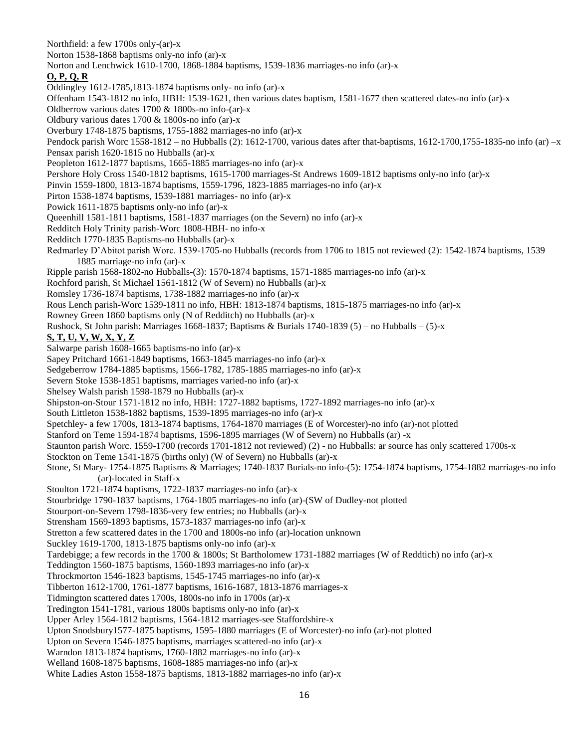Northfield: a few 1700s only-(ar)-x Norton 1538-1868 baptisms only-no info (ar)-x Norton and Lenchwick 1610-1700, 1868-1884 baptisms, 1539-1836 marriages-no info (ar)-x **O, P, Q, R** Oddingley 1612-1785,1813-1874 baptisms only- no info (ar)-x Offenham 1543-1812 no info, HBH: 1539-1621, then various dates baptism, 1581-1677 then scattered dates-no info (ar)-x Oldberrow various dates 1700 & 1800s-no info-(ar)-x Oldbury various dates 1700 & 1800s-no info (ar)-x Overbury 1748-1875 baptisms, 1755-1882 marriages-no info (ar)-x Pendock parish Worc 1558-1812 – no Hubballs (2): 1612-1700, various dates after that-baptisms, 1612-1700,1755-1835-no info (ar) –x Pensax parish 1620-1815 no Hubballs (ar)-x Peopleton 1612-1877 baptisms, 1665-1885 marriages-no info (ar)-x Pershore Holy Cross 1540-1812 baptisms, 1615-1700 marriages-St Andrews 1609-1812 baptisms only-no info (ar)-x Pinvin 1559-1800, 1813-1874 baptisms, 1559-1796, 1823-1885 marriages-no info (ar)-x Pirton 1538-1874 baptisms, 1539-1881 marriages- no info (ar)-x Powick 1611-1875 baptisms only-no info (ar)-x Queenhill 1581-1811 baptisms, 1581-1837 marriages (on the Severn) no info (ar)-x Redditch Holy Trinity parish-Worc 1808-HBH- no info-x Redditch 1770-1835 Baptisms-no Hubballs (ar)-x Redmarley D'Abitot parish Worc. 1539-1705-no Hubballs (records from 1706 to 1815 not reviewed (2): 1542-1874 baptisms, 1539 1885 marriage-no info (ar)-x Ripple parish 1568-1802-no Hubballs-(3): 1570-1874 baptisms, 1571-1885 marriages-no info (ar)-x Rochford parish, St Michael 1561-1812 (W of Severn) no Hubballs (ar)-x Romsley 1736-1874 baptisms, 1738-1882 marriages-no info (ar)-x Rous Lench parish-Worc 1539-1811 no info, HBH: 1813-1874 baptisms, 1815-1875 marriages-no info (ar)-x Rowney Green 1860 baptisms only (N of Redditch) no Hubballs (ar)-x Rushock, St John parish: Marriages 1668-1837; Baptisms & Burials  $1740-1839(5)$  – no Hubballs – (5)-x **S, T, U, V, W, X, Y, Z** Salwarpe parish 1608-1665 baptisms-no info (ar)-x Sapey Pritchard 1661-1849 baptisms, 1663-1845 marriages-no info (ar)-x Sedgeberrow 1784-1885 baptisms, 1566-1782, 1785-1885 marriages-no info (ar)-x Severn Stoke 1538-1851 baptisms, marriages varied-no info (ar)-x Shelsey Walsh parish 1598-1879 no Hubballs (ar)-x Shipston-on-Stour 1571-1812 no info, HBH: 1727-1882 baptisms, 1727-1892 marriages-no info (ar)-x South Littleton 1538-1882 baptisms, 1539-1895 marriages-no info (ar)-x Spetchley- a few 1700s, 1813-1874 baptisms, 1764-1870 marriages (E of Worcester)-no info (ar)-not plotted Stanford on Teme 1594-1874 baptisms, 1596-1895 marriages (W of Severn) no Hubballs (ar) -x Staunton parish Worc. 1559-1700 (records 1701-1812 not reviewed) (2) - no Hubballs: ar source has only scattered 1700s-x Stockton on Teme 1541-1875 (births only) (W of Severn) no Hubballs (ar)-x Stone, St Mary- 1754-1875 Baptisms & Marriages; 1740-1837 Burials-no info-(5): 1754-1874 baptisms, 1754-1882 marriages-no info (ar)-located in Staff-x Stoulton 1721-1874 baptisms, 1722-1837 marriages-no info (ar)-x Stourbridge 1790-1837 baptisms, 1764-1805 marriages-no info (ar)-(SW of Dudley-not plotted Stourport-on-Severn 1798-1836-very few entries; no Hubballs (ar)-x Strensham 1569-1893 baptisms, 1573-1837 marriages-no info (ar)-x Stretton a few scattered dates in the 1700 and 1800s-no info (ar)-location unknown Suckley 1619-1700, 1813-1875 baptisms only-no info (ar)-x Tardebigge; a few records in the 1700 & 1800s; St Bartholomew 1731-1882 marriages (W of Reddtich) no info (ar)-x Teddington 1560-1875 baptisms, 1560-1893 marriages-no info (ar)-x Throckmorton 1546-1823 baptisms, 1545-1745 marriages-no info (ar)-x Tibberton 1612-1700, 1761-1877 baptisms, 1616-1687, 1813-1876 marriages-x Tidmington scattered dates 1700s, 1800s-no info in 1700s (ar)-x Tredington 1541-1781, various 1800s baptisms only-no info (ar)-x Upper Arley 1564-1812 baptisms, 1564-1812 marriages-see Staffordshire-x Upton Snodsbury1577-1875 baptisms, 1595-1880 marriages (E of Worcester)-no info (ar)-not plotted Upton on Severn 1546-1875 baptisms, marriages scattered-no info (ar)-x Warndon 1813-1874 baptisms, 1760-1882 marriages-no info (ar)-x Welland 1608-1875 baptisms, 1608-1885 marriages-no info (ar)-x White Ladies Aston 1558-1875 baptisms, 1813-1882 marriages-no info (ar)-x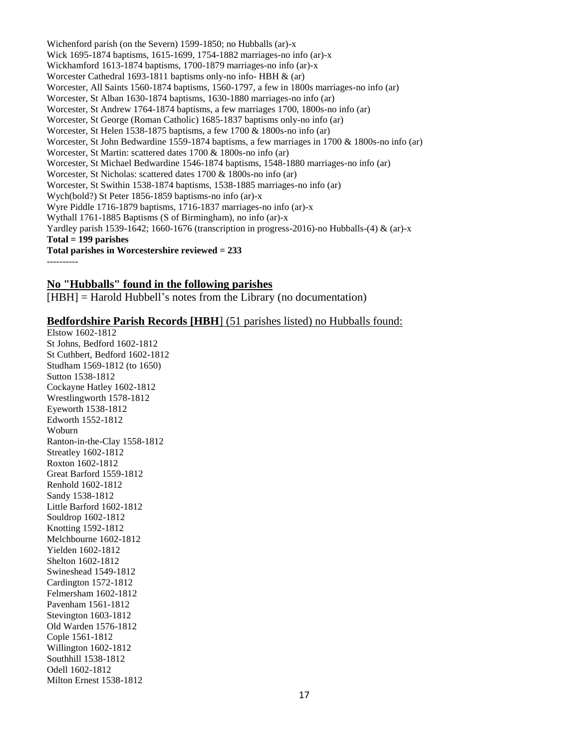Wichenford parish (on the Severn) 1599-1850; no Hubballs (ar)-x Wick 1695-1874 baptisms, 1615-1699, 1754-1882 marriages-no info (ar)-x Wickhamford 1613-1874 baptisms, 1700-1879 marriages-no info (ar)-x Worcester Cathedral 1693-1811 baptisms only-no info- HBH & (ar) Worcester, All Saints 1560-1874 baptisms, 1560-1797, a few in 1800s marriages-no info (ar) Worcester, St Alban 1630-1874 baptisms, 1630-1880 marriages-no info (ar) Worcester, St Andrew 1764-1874 baptisms, a few marriages 1700, 1800s-no info (ar) Worcester, St George (Roman Catholic) 1685-1837 baptisms only-no info (ar) Worcester, St Helen 1538-1875 baptisms, a few 1700 & 1800s-no info (ar) Worcester, St John Bedwardine 1559-1874 baptisms, a few marriages in 1700 & 1800s-no info (ar) Worcester, St Martin: scattered dates 1700 & 1800s-no info (ar) Worcester, St Michael Bedwardine 1546-1874 baptisms, 1548-1880 marriages-no info (ar) Worcester, St Nicholas: scattered dates 1700 & 1800s-no info (ar) Worcester, St Swithin 1538-1874 baptisms, 1538-1885 marriages-no info (ar) Wych(bold?) St Peter 1856-1859 baptisms-no info (ar)-x Wyre Piddle 1716-1879 baptisms, 1716-1837 marriages-no info (ar)-x Wythall 1761-1885 Baptisms (S of Birmingham), no info (ar)-x Yardley parish 1539-1642; 1660-1676 (transcription in progress-2016)-no Hubballs-(4) & (ar)-x **Total = 199 parishes Total parishes in Worcestershire reviewed = 233** ----------

### **No "Hubballs" found in the following parishes**

[HBH] = Harold Hubbell's notes from the Library (no documentation)

#### **Bedfordshire Parish Records [HBH**] (51 parishes listed) no Hubballs found:

Elstow 1602-1812 St Johns, Bedford 1602-1812 St Cuthbert, Bedford 1602-1812 Studham 1569-1812 (to 1650) Sutton 1538-1812 Cockayne Hatley 1602-1812 Wrestlingworth 1578-1812 Eyeworth 1538-1812 Edworth 1552-1812 Woburn Ranton-in-the-Clay 1558-1812 Streatley 1602-1812 Roxton 1602-1812 Great Barford 1559-1812 Renhold 1602-1812 Sandy 1538-1812 Little Barford 1602-1812 Souldrop 1602-1812 Knotting 1592-1812 Melchbourne 1602-1812 Yielden 1602-1812 Shelton 1602-1812 Swineshead 1549-1812 Cardington 1572-1812 Felmersham 1602-1812 Pavenham 1561-1812 Stevington 1603-1812 Old Warden 1576-1812 Cople 1561-1812 Willington 1602-1812 Southhill 1538-1812 Odell 1602-1812 Milton Ernest 1538-1812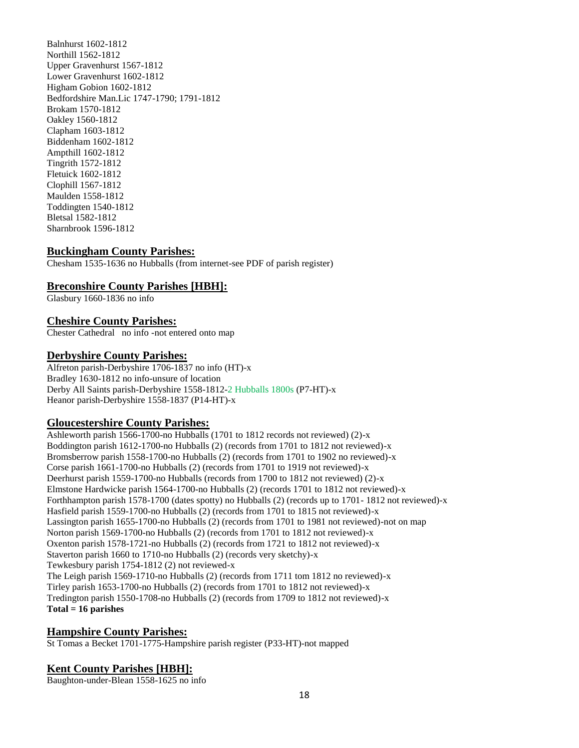Balnhurst 1602-1812 Northill 1562-1812 Upper Gravenhurst 1567-1812 Lower Gravenhurst 1602-1812 Higham Gobion 1602-1812 Bedfordshire Man.Lic 1747-1790; 1791-1812 Brokam 1570-1812 Oakley 1560-1812 Clapham 1603-1812 Biddenham 1602-1812 Ampthill 1602-1812 Tingrith 1572-1812 Fletuick 1602-1812 Clophill 1567-1812 Maulden 1558-1812 Toddingten 1540-1812 Bletsal 1582-1812 Sharnbrook 1596-1812

# **Buckingham County Parishes:**

Chesham 1535-1636 no Hubballs (from internet-see PDF of parish register)

# **Breconshire County Parishes [HBH]:**

Glasbury 1660-1836 no info

# **Cheshire County Parishes:**

Chester Cathedral no info -not entered onto map

# **Derbyshire County Parishes:**

Alfreton parish-Derbyshire 1706-1837 no info (HT)-x Bradley 1630-1812 no info-unsure of location Derby All Saints parish-Derbyshire 1558-1812-2 Hubballs 1800s (P7-HT)-x Heanor parish-Derbyshire 1558-1837 (P14-HT)-x

# **Gloucestershire County Parishes:**

Ashleworth parish 1566-1700-no Hubballs (1701 to 1812 records not reviewed) (2)-x Boddington parish 1612-1700-no Hubballs (2) (records from 1701 to 1812 not reviewed)-x Bromsberrow parish 1558-1700-no Hubballs (2) (records from 1701 to 1902 no reviewed)-x Corse parish 1661-1700-no Hubballs (2) (records from 1701 to 1919 not reviewed)-x Deerhurst parish 1559-1700-no Hubballs (records from 1700 to 1812 not reviewed) (2)-x Elmstone Hardwicke parish 1564-1700-no Hubballs (2) (records 1701 to 1812 not reviewed)-x Forthhampton parish 1578-1700 (dates spotty) no Hubballs (2) (records up to 1701- 1812 not reviewed)-x Hasfield parish 1559-1700-no Hubballs (2) (records from 1701 to 1815 not reviewed)-x Lassington parish 1655-1700-no Hubballs (2) (records from 1701 to 1981 not reviewed)-not on map Norton parish 1569-1700-no Hubballs (2) (records from 1701 to 1812 not reviewed)-x Oxenton parish 1578-1721-no Hubballs (2) (records from 1721 to 1812 not reviewed)-x Staverton parish 1660 to 1710-no Hubballs (2) (records very sketchy)-x Tewkesbury parish 1754-1812 (2) not reviewed-x The Leigh parish 1569-1710-no Hubballs (2) (records from 1711 tom 1812 no reviewed)-x Tirley parish 1653-1700-no Hubballs (2) (records from 1701 to 1812 not reviewed)-x Tredington parish 1550-1708-no Hubballs (2) (records from 1709 to 1812 not reviewed)-x **Total = 16 parishes**

# **Hampshire County Parishes:**

St Tomas a Becket 1701-1775-Hampshire parish register (P33-HT)-not mapped

# **Kent County Parishes [HBH]:**

Baughton-under-Blean 1558-1625 no info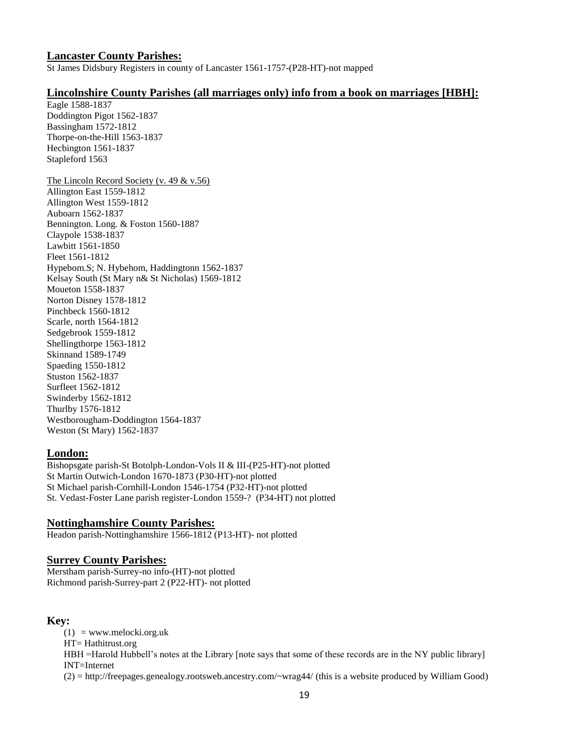### **Lancaster County Parishes:**

St James Didsbury Registers in county of Lancaster 1561-1757-(P28-HT)-not mapped

# **Lincolnshire County Parishes (all marriages only) info from a book on marriages [HBH]:**

Eagle 1588-1837 Doddington Pigot 1562-1837 Bassingham 1572-1812 Thorpe-on-the-Hill 1563-1837 Hecbington 1561-1837 Stapleford 1563

The Lincoln Record Society (v. 49 & v.56) Allington East 1559-1812 Allington West 1559-1812 Auboarn 1562-1837 Bennington. Long. & Foston 1560-1887 Claypole 1538-1837 Lawbitt 1561-1850 Fleet 1561-1812 Hypebom.S; N. Hybehom, Haddingtonn 1562-1837 Kelsay South (St Mary n& St Nicholas) 1569-1812 Moueton 1558-1837 Norton Disney 1578-1812 Pinchbeck 1560-1812 Scarle, north 1564-1812 Sedgebrook 1559-1812 Shellingthorpe 1563-1812 Skinnand 1589-1749 Spaeding 1550-1812 Stuston 1562-1837 Surfleet 1562-1812 Swinderby 1562-1812 Thurlby 1576-1812 Westborougham-Doddington 1564-1837 Weston (St Mary) 1562-1837

# **London:**

Bishopsgate parish-St Botolph-London-Vols II & III-(P25-HT)-not plotted St Martin Outwich-London 1670-1873 (P30-HT)-not plotted St Michael parish-Cornhill-London 1546-1754 (P32-HT)-not plotted St. Vedast-Foster Lane parish register-London 1559-? (P34-HT) not plotted

# **Nottinghamshire County Parishes:**

Headon parish-Nottinghamshire 1566-1812 (P13-HT)- not plotted

# **Surrey County Parishes:**

Merstham parish-Surrey-no info-(HT)-not plotted Richmond parish-Surrey-part 2 (P22-HT)- not plotted

# **Key:**

 $(1)$  = www.melocki.org.uk HT= Hathitrust.org HBH =Harold Hubbell's notes at the Library [note says that some of these records are in the NY public library] INT=Internet (2) = http://freepages.genealogy.rootsweb.ancestry.com/~wrag44/ (this is a website produced by William Good)